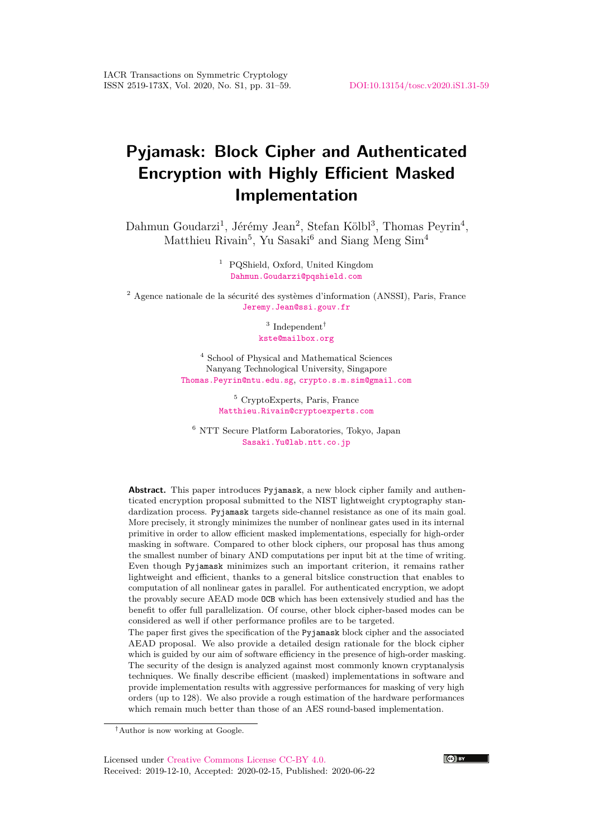# **Pyjamask: Block Cipher and Authenticated Encryption with Highly Efficient Masked Implementation**

Dahmun Goudarzi<sup>1</sup>, Jérémy Jean<sup>2</sup>, Stefan Kölbl<sup>3</sup>, Thomas Peyrin<sup>4</sup>, Matthieu Rivain<sup>5</sup>, Yu Sasaki<sup>6</sup> and Siang Meng Sim<sup>4</sup>

> <sup>1</sup> PQShield, Oxford, United Kingdom [Dahmun.Goudarzi@pqshield.com](mailto:Dahmun.Goudarzi@pqshield.com)

<sup>2</sup> Agence nationale de la sécurité des systèmes d'information (ANSSI), Paris, France [Jeremy.Jean@ssi.gouv.fr](mailto:Jeremy.Jean@ssi.gouv.fr)

> <sup>3</sup> Independent<sup>†</sup> [kste@mailbox.org](mailto:kste@mailbox.org)

<sup>4</sup> School of Physical and Mathematical Sciences Nanyang Technological University, Singapore [Thomas.Peyrin@ntu.edu.sg](mailto:Thomas.Peyrin@ntu.edu.sg), [crypto.s.m.sim@gmail.com](mailto:crypto.s.m.sim@gmail.com)

> <sup>5</sup> CryptoExperts, Paris, France [Matthieu.Rivain@cryptoexperts.com](mailto:Matthieu.Rivain@cryptoexperts.com)

<sup>6</sup> NTT Secure Platform Laboratories, Tokyo, Japan [Sasaki.Yu@lab.ntt.co.jp](mailto:Sasaki.Yu@lab.ntt.co.jp)

**Abstract.** This paper introduces Pyjamask, a new block cipher family and authenticated encryption proposal submitted to the NIST lightweight cryptography standardization process. Pyjamask targets side-channel resistance as one of its main goal. More precisely, it strongly minimizes the number of nonlinear gates used in its internal primitive in order to allow efficient masked implementations, especially for high-order masking in software. Compared to other block ciphers, our proposal has thus among the smallest number of binary AND computations per input bit at the time of writing. Even though Pyjamask minimizes such an important criterion, it remains rather lightweight and efficient, thanks to a general bitslice construction that enables to computation of all nonlinear gates in parallel. For authenticated encryption, we adopt the provably secure AEAD mode OCB which has been extensively studied and has the benefit to offer full parallelization. Of course, other block cipher-based modes can be considered as well if other performance profiles are to be targeted.

The paper first gives the specification of the Pyjamask block cipher and the associated AEAD proposal. We also provide a detailed design rationale for the block cipher which is guided by our aim of software efficiency in the presence of high-order masking. The security of the design is analyzed against most commonly known cryptanalysis techniques. We finally describe efficient (masked) implementations in software and provide implementation results with aggressive performances for masking of very high orders (up to 128). We also provide a rough estimation of the hardware performances which remain much better than those of an AES round-based implementation.



<sup>†</sup>Author is now working at Google.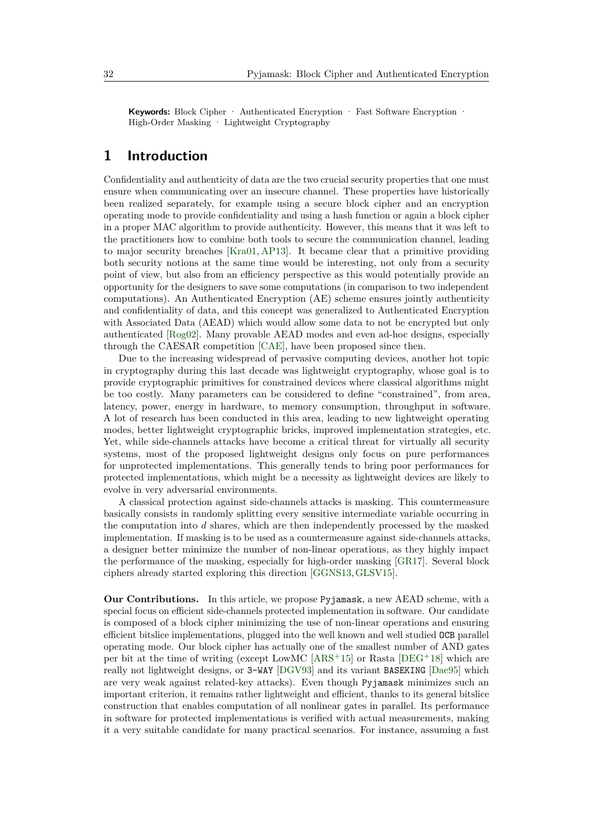**Keywords:** Block Cipher · Authenticated Encryption · Fast Software Encryption · High-Order Masking · Lightweight Cryptography

# **1 Introduction**

Confidentiality and authenticity of data are the two crucial security properties that one must ensure when communicating over an insecure channel. These properties have historically been realized separately, for example using a secure block cipher and an encryption operating mode to provide confidentiality and using a hash function or again a block cipher in a proper MAC algorithm to provide authenticity. However, this means that it was left to the practitioners how to combine both tools to secure the communication channel, leading to major security breaches [\[Kra01,](#page-28-0) [AP13\]](#page-25-0). It became clear that a primitive providing both security notions at the same time would be interesting, not only from a security point of view, but also from an efficiency perspective as this would potentially provide an opportunity for the designers to save some computations (in comparison to two independent computations). An Authenticated Encryption (AE) scheme ensures jointly authenticity and confidentiality of data, and this concept was generalized to Authenticated Encryption with Associated Data (AEAD) which would allow some data to not be encrypted but only authenticated [\[Rog02\]](#page-28-1). Many provable AEAD modes and even ad-hoc designs, especially through the CAESAR competition [\[CAE\]](#page-25-1), have been proposed since then.

Due to the increasing widespread of pervasive computing devices, another hot topic in cryptography during this last decade was lightweight cryptography, whose goal is to provide cryptographic primitives for constrained devices where classical algorithms might be too costly. Many parameters can be considered to define "constrained", from area, latency, power, energy in hardware, to memory consumption, throughput in software. A lot of research has been conducted in this area, leading to new lightweight operating modes, better lightweight cryptographic bricks, improved implementation strategies, etc. Yet, while side-channels attacks have become a critical threat for virtually all security systems, most of the proposed lightweight designs only focus on pure performances for unprotected implementations. This generally tends to bring poor performances for protected implementations, which might be a necessity as lightweight devices are likely to evolve in very adversarial environments.

A classical protection against side-channels attacks is masking. This countermeasure basically consists in randomly splitting every sensitive intermediate variable occurring in the computation into *d* shares, which are then independently processed by the masked implementation. If masking is to be used as a countermeasure against side-channels attacks, a designer better minimize the number of non-linear operations, as they highly impact the performance of the masking, especially for high-order masking [\[GR17\]](#page-27-0). Several block ciphers already started exploring this direction [\[GGNS13,](#page-26-0)[GLSV15\]](#page-26-1).

**Our Contributions.** In this article, we propose Pyjamask, a new AEAD scheme, with a special focus on efficient side-channels protected implementation in software. Our candidate is composed of a block cipher minimizing the use of non-linear operations and ensuring efficient bitslice implementations, plugged into the well known and well studied OCB parallel operating mode. Our block cipher has actually one of the smallest number of AND gates per bit at the time of writing (except LowMC  $[ARS<sup>+15</sup>]$  $[ARS<sup>+15</sup>]$  or Rasta  $[DEG<sup>+18</sup>]$  $[DEG<sup>+18</sup>]$  which are really not lightweight designs, or 3-WAY [\[DGV93\]](#page-26-3) and its variant BASEKING [\[Dae95\]](#page-25-3) which are very weak against related-key attacks). Even though Pyjamask minimizes such an important criterion, it remains rather lightweight and efficient, thanks to its general bitslice construction that enables computation of all nonlinear gates in parallel. Its performance in software for protected implementations is verified with actual measurements, making it a very suitable candidate for many practical scenarios. For instance, assuming a fast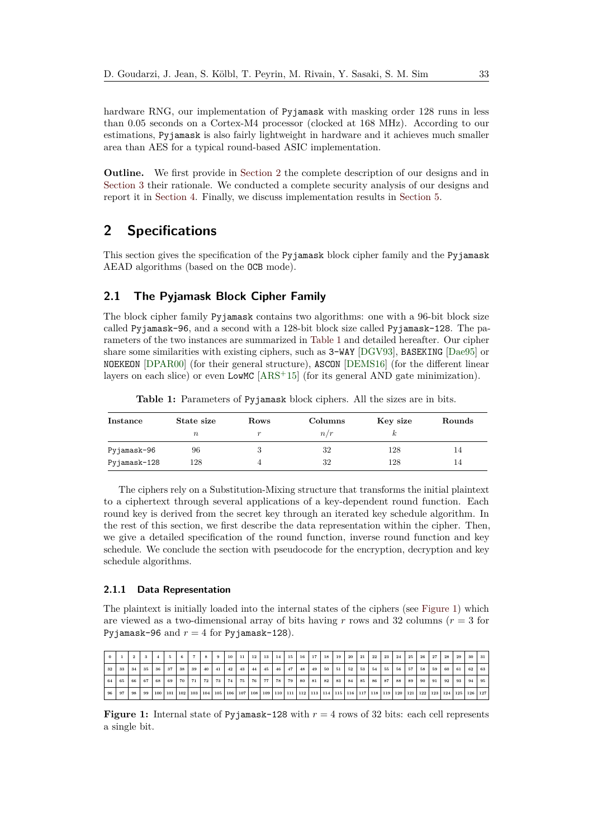hardware RNG, our implementation of Pyjamask with masking order 128 runs in less than 0.05 seconds on a Cortex-M4 processor (clocked at 168 MHz). According to our estimations, Pyjamask is also fairly lightweight in hardware and it achieves much smaller area than AES for a typical round-based ASIC implementation.

**Outline.** We first provide in [Section 2](#page-2-0) the complete description of our designs and in [Section 3](#page-8-0) their rationale. We conducted a complete security analysis of our designs and report it in [Section 4.](#page-12-0) Finally, we discuss implementation results in [Section 5.](#page-17-0)

# <span id="page-2-0"></span>**2 Specifications**

This section gives the specification of the Pyjamask block cipher family and the Pyjamask AEAD algorithms (based on the OCB mode).

# <span id="page-2-3"></span>**2.1 The Pyjamask Block Cipher Family**

The block cipher family Pyjamask contains two algorithms: one with a 96-bit block size called Pyjamask-96, and a second with a 128-bit block size called Pyjamask-128. The parameters of the two instances are summarized in [Table 1](#page-2-1) and detailed hereafter. Our cipher share some similarities with existing ciphers, such as 3-WAY [\[DGV93\]](#page-26-3), BASEKING [\[Dae95\]](#page-25-3) or NOEKEON [\[DPAR00\]](#page-26-4) (for their general structure), ASCON [\[DEMS16\]](#page-26-5) (for the different linear layers on each slice) or even LowMC [\[ARS](#page-25-2)<sup>+</sup>15] (for its general AND gate minimization).

**Table 1:** Parameters of Pyjamask block ciphers. All the sizes are in bits.

<span id="page-2-1"></span>

| Instance     | State size | Rows | Columns | Key size | Rounds |
|--------------|------------|------|---------|----------|--------|
|              | $\, n$     |      | n/r     |          |        |
| Pyjamask-96  | 96         |      | 32      | 128      | 14     |
| Pyjamask-128 | 128        |      | 32      | 128      | 14     |

The ciphers rely on a Substitution-Mixing structure that transforms the initial plaintext to a ciphertext through several applications of a key-dependent round function. Each round key is derived from the secret key through an iterated key schedule algorithm. In the rest of this section, we first describe the data representation within the cipher. Then, we give a detailed specification of the round function, inverse round function and key schedule. We conclude the section with pseudocode for the encryption, decryption and key schedule algorithms.

#### **2.1.1 Data Representation**

The plaintext is initially loaded into the internal states of the ciphers (see [Figure 1\)](#page-2-2) which are viewed as a two-dimensional array of bits having *r* rows and 32 columns (*r* = 3 for Pyjamask-96 and  $r = 4$  for Pyjamask-128).

<span id="page-2-2"></span>

| $\bf{0}$ |    | $\mathbf{2}$ | 3  |         | 5. | -6  | 7 <sup>1</sup> | 8         | $\mathbf{9}$ | 10              | -11 | 12 |    | 13 14       | 15 |                 | 16 17   | 18  | 19 <sup>1</sup> | 20 | 21   | 22 <sub>1</sub>             | 23    | 24 | 25 l | 26                    | 27  | 28              | 29          | 30 | 31        |
|----------|----|--------------|----|---------|----|-----|----------------|-----------|--------------|-----------------|-----|----|----|-------------|----|-----------------|---------|-----|-----------------|----|------|-----------------------------|-------|----|------|-----------------------|-----|-----------------|-------------|----|-----------|
| 32       | 33 | 34           | 35 | 36      | 37 | 38  | 39             | 40        | 41           | 42 <sub>1</sub> | 43  | 44 | 45 | 46          | 47 |                 | 48 49   | 50  | 51              | 52 | 53   | 54                          | 55    | 56 | 57   | 58                    | 59  |                 | 60 61       | 62 | 63        |
| 64       | 65 | 66           | 67 | 68      | 69 | 70  | 71             | 72        | 73           | 74              | 75  | 76 | 77 | 78          | 79 |                 | 80   81 | 82  | 83 l            | 84 | . 85 |                             | 86 87 | 88 | 89   | 1.90                  | 91  | 92 <sub>1</sub> | 93          | 94 | 95        |
| 96       | 97 | 98           | 99 | 100 101 |    | 102 |                | $103$ 104 |              | 105 106 107     |     |    |    | 108 109 110 |    | 111   112   113 |         | 114 |                 |    |      | 115   116   117   118   119 |       |    |      | $120$   $121$   $122$ | 123 |                 | $124$   125 |    | $126$ 127 |

**Figure 1:** Internal state of Pyjamask-128 with  $r = 4$  rows of 32 bits: each cell represents a single bit.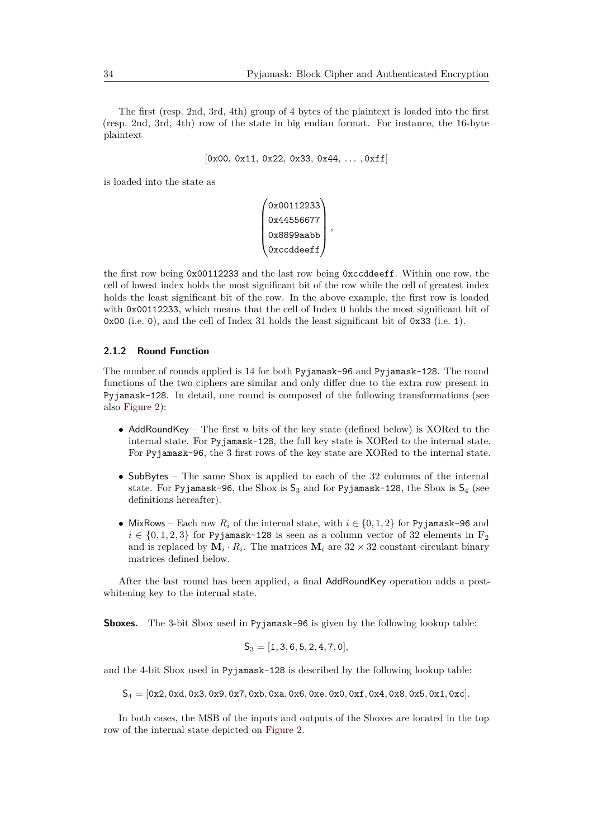The first (resp. 2nd, 3rd, 4th) group of 4 bytes of the plaintext is loaded into the first (resp. 2nd, 3rd, 4th) row of the state in big endian format. For instance, the 16-byte plaintext

```
[0x00, 0x11, 0x22, 0x33, 0x44, . . . , 0xff]
```
is loaded into the state as

```
\sqrt{ }\overline{\phantom{a}}0x00112233
   0x44556677
   0x8899aabb
   0xccddeeff
                     \setminus
,
```
the first row being 0x00112233 and the last row being 0xccddeeff. Within one row, the cell of lowest index holds the most significant bit of the row while the cell of greatest index holds the least significant bit of the row. In the above example, the first row is loaded with 0x00112233, which means that the cell of Index 0 holds the most significant bit of 0x00 (i.e. 0), and the cell of Index 31 holds the least significant bit of 0x33 (i.e. 1).

#### **2.1.2 Round Function**

The number of rounds applied is 14 for both Pyjamask-96 and Pyjamask-128. The round functions of the two ciphers are similar and only differ due to the extra row present in Pyjamask-128. In detail, one round is composed of the following transformations (see also [Figure 2\)](#page-4-0):

- AddRoundKey The first *n* bits of the key state (defined below) is XORed to the internal state. For Pyjamask-128, the full key state is XORed to the internal state. For Pyjamask-96, the 3 first rows of the key state are XORed to the internal state.
- SubBytes The same Sbox is applied to each of the 32 columns of the internal state. For Pyjamask-96, the Sbox is  $S_3$  and for Pyjamask-128, the Sbox is  $S_4$  (see definitions hereafter).
- MixRows Each row  $R_i$  of the internal state, with  $i \in \{0, 1, 2\}$  for Pyjamask-96 and  $i \in \{0, 1, 2, 3\}$  for Pyjamask-128 is seen as a column vector of 32 elements in  $\mathbb{F}_2$ and is replaced by  $\mathbf{M}_i \cdot R_i$ . The matrices  $\mathbf{M}_i$  are  $32 \times 32$  constant circulant binary matrices defined below.

After the last round has been applied, a final AddRoundKey operation adds a postwhitening key to the internal state.

**Sboxes.** The 3-bit Sbox used in Pyjamask-96 is given by the following lookup table:

$$
\mathsf{S}_3=[1,3,6,5,2,4,7,0],
$$

and the 4-bit Sbox used in Pyjamask-128 is described by the following lookup table:

S<sup>4</sup> = [0x2*,* 0xd*,* 0x3*,* 0x9*,* 0x7*,* 0xb*,* 0xa*,* 0x6*,* 0xe*,* 0x0*,* 0xf*,* 0x4*,* 0x8*,* 0x5*,* 0x1*,* 0xc]*.*

In both cases, the MSB of the inputs and outputs of the Sboxes are located in the top row of the internal state depicted on [Figure 2.](#page-4-0)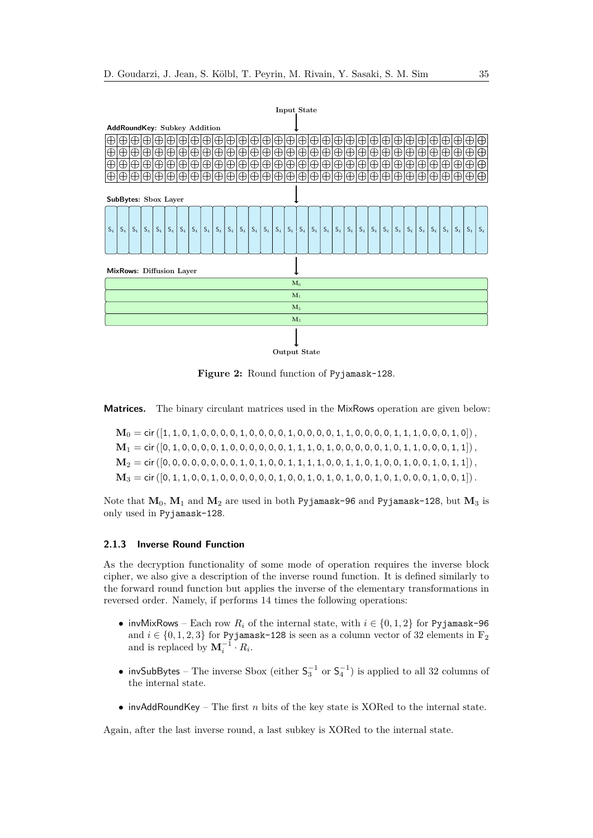<span id="page-4-0"></span>

**Figure 2:** Round function of Pyjamask-128.

**Matrices.** The binary circulant matrices used in the MixRows operation are given below:

 $M_0 =$  cir  $([1, 1, 0, 1, 0, 0, 0, 0, 1, 0, 0, 0, 0, 1, 0, 0, 0, 0, 1, 1, 0, 0, 0, 0, 1, 1, 1, 0, 0, 0, 1, 0])$ ,  $M_1 = \text{cir }([0, 1, 0, 0, 0, 0, 1, 0, 0, 0, 0, 0, 0, 1, 1, 1, 0, 1, 0, 0, 0, 0, 0, 1, 0, 1, 1, 0, 0, 0, 1, 1])$  $M_2 =$  cir ([0, 0, 0, 0, 0, 0, 0, 0, 1, 0, 1, 0, 0, 1, 1, 1, 1, 0, 0, 1, 1, 0, 0, 1, 0, 0, 1, 0, 0, 1, 0, 1, 1, 1])  $M_3 =$  cir  $(0, 1, 1, 0, 0, 1, 0, 0, 0, 0, 0, 0, 1, 0, 0, 1, 0, 1, 0, 1, 0, 0, 1, 0, 0, 0, 1, 0, 0, 1)$ .

Note that **M**0, **M**<sup>1</sup> and **M**<sup>2</sup> are used in both Pyjamask-96 and Pyjamask-128, but **M**<sup>3</sup> is only used in Pyjamask-128.

#### **2.1.3 Inverse Round Function**

As the decryption functionality of some mode of operation requires the inverse block cipher, we also give a description of the inverse round function. It is defined similarly to the forward round function but applies the inverse of the elementary transformations in reversed order. Namely, if performs 14 times the following operations:

- invMixRows Each row  $R_i$  of the internal state, with  $i \in \{0, 1, 2\}$  for Pyjamask-96 and  $i \in \{0, 1, 2, 3\}$  for Pyjamask-128 is seen as a column vector of 32 elements in  $\mathbb{F}_2$ and is replaced by  $\mathbf{M}_i^{-1} \cdot R_i$ .
- invSubBytes The inverse Sbox (either  $\mathsf{S}_3^{-1}$  or  $\mathsf{S}_4^{-1}$ ) is applied to all 32 columns of the internal state.
- invAddRoundKey The first *n* bits of the key state is XORed to the internal state.

Again, after the last inverse round, a last subkey is XORed to the internal state.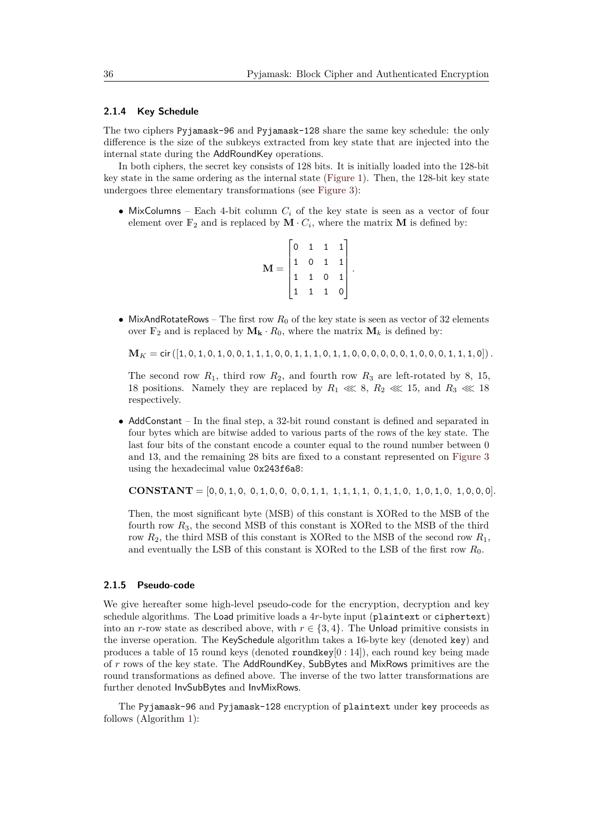#### **2.1.4 Key Schedule**

The two ciphers Pyjamask-96 and Pyjamask-128 share the same key schedule: the only difference is the size of the subkeys extracted from key state that are injected into the internal state during the AddRoundKey operations.

In both ciphers, the secret key consists of 128 bits. It is initially loaded into the 128-bit key state in the same ordering as the internal state [\(Figure 1\)](#page-2-2). Then, the 128-bit key state undergoes three elementary transformations (see [Figure 3\)](#page-6-0):

• MixColumns – Each 4-bit column  $C_i$  of the key state is seen as a vector of four element over  $\mathbb{F}_2$  and is replaced by  $\mathbf{M} \cdot C_i$ , where the matrix  $\mathbf{M}$  is defined by:

|                         | $\mathsf O$ | $\mathbf{1}$   | $\mathbf{1}$                        | 1 |  |
|-------------------------|-------------|----------------|-------------------------------------|---|--|
| $\overline{\mathbf{M}}$ |             | $0\quad 1$     |                                     |   |  |
|                         |             |                | $\begin{matrix} 1 & 0 \end{matrix}$ |   |  |
|                         |             | $\overline{1}$ |                                     |   |  |

• MixAndRotateRows – The first row  $R_0$  of the key state is seen as vector of 32 elements over  $\mathbb{F}_2$  and is replaced by  $\mathbf{M}_k \cdot R_0$ , where the matrix  $\mathbf{M}_k$  is defined by:

 $M_K = \text{cir} ([1, 0, 1, 0, 1, 0, 0, 1, 1, 1, 0, 0, 1, 1, 1, 0, 1, 1, 0, 0, 0, 0, 0, 0, 1, 0, 0, 0, 1, 1, 1, 0]).$ 

The second row  $R_1$ , third row  $R_2$ , and fourth row  $R_3$  are left-rotated by 8, 15, 18 positions. Namely they are replaced by  $R_1 \ll 8$ ,  $R_2 \ll 15$ , and  $R_3 \ll 18$ respectively.

• AddConstant – In the final step, a 32-bit round constant is defined and separated in four bytes which are bitwise added to various parts of the rows of the key state. The last four bits of the constant encode a counter equal to the round number between 0 and 13, and the remaining 28 bits are fixed to a constant represented on [Figure 3](#page-6-0) using the hexadecimal value 0x243f6a8:

**CONSTANT** =  $[0, 0, 1, 0, 0, 1, 0, 0, 0, 0, 1, 1, 1, 1, 1, 1, 0, 1, 1, 0, 1, 0, 1, 0, 0, 0, 0]$ 

Then, the most significant byte (MSB) of this constant is XORed to the MSB of the fourth row *R*3, the second MSB of this constant is XORed to the MSB of the third row *R*2, the third MSB of this constant is XORed to the MSB of the second row *R*1, and eventually the LSB of this constant is XORed to the LSB of the first row *R*0.

#### **2.1.5 Pseudo-code**

We give hereafter some high-level pseudo-code for the encryption, decryption and key schedule algorithms. The Load primitive loads a 4*r*-byte input (plaintext or ciphertext) into an *r*-row state as described above, with  $r \in \{3, 4\}$ . The Unload primitive consists in the inverse operation. The KeySchedule algorithm takes a 16-byte key (denoted key) and produces a table of 15 round keys (denoted roundkey $[0:14]$ ), each round key being made of *r* rows of the key state. The AddRoundKey, SubBytes and MixRows primitives are the round transformations as defined above. The inverse of the two latter transformations are further denoted InvSubBytes and InvMixRows.

The Pyjamask-96 and Pyjamask-128 encryption of plaintext under key proceeds as follows (Algorithm [1\)](#page-6-1):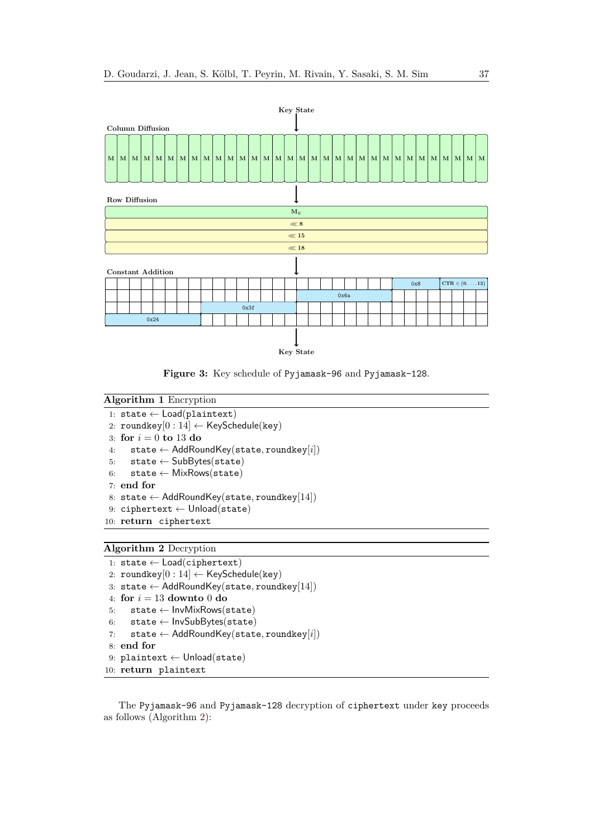<span id="page-6-0"></span>

**Figure 3:** Key schedule of Pyjamask-96 and Pyjamask-128.

```
Algorithm 1 Encryption
 1: state ← Load(plaintext)
 2: roundkey[0:14] \leftarrow KeySchedule(key)3: for i = 0 to 13 do
 4: state ← AddRoundKey(state, roundkey[i])
 5: state \leftarrow SubBytes(state)6: state \leftarrow MixRows(state)7: end for
 8: state ← AddRoundKey(state, roundkey[14])
 9: ciphertext ← Unload(state)
10: return ciphertext
```

```
Algorithm 2 Decryption
```

```
1: state \leftarrow Load(ciphertext)
2: roundkey[0:14] \leftarrow KeySchedule(key)3: state ← AddRoundKey(state, roundkey[14])
4: for i = 13 downto 0 do
5: state ← InvMixRows(state)
6: state ← InvSubBytes(state)
7: state ← AddRoundKey(state, roundkey[i])
8: end for
9: plaintext ← Unload(state)
10: return plaintext
```
The Pyjamask-96 and Pyjamask-128 decryption of ciphertext under key proceeds as follows (Algorithm [2\)](#page-6-2):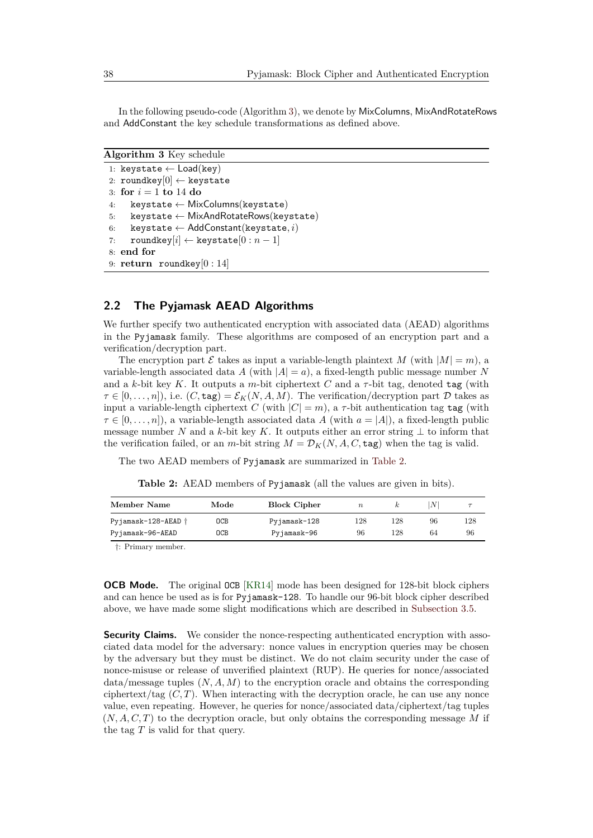In the following pseudo-code (Algorithm [3\)](#page-7-0), we denote by MixColumns, MixAndRotateRows and AddConstant the key schedule transformations as defined above.

```
Algorithm 3 Key schedule
```

```
1: keystate ← Load(key)
2: roundkey[0] \leftarrow keystate
3: for i = 1 to 14 do
4: keystate \leftarrow MixColumns(keystate)
5: keystate ← MixAndRotateRows(keystate)
6: keystate ← AddConstant(keystate, i)
7: roundkey[i] \leftarrow keystate[0 : n - 1]8: end for
9: return roundkey[0 : 14]
```
# **2.2 The Pyjamask AEAD Algorithms**

We further specify two authenticated encryption with associated data (AEAD) algorithms in the Pyjamask family. These algorithms are composed of an encryption part and a verification/decryption part.

The encryption part  $\mathcal E$  takes as input a variable-length plaintext  $M$  (with  $|M| = m$ ), a variable-length associated data *A* (with  $|A| = a$ ), a fixed-length public message number *N* and a  $k$ -bit key  $K$ . It outputs a *m*-bit ciphertext  $C$  and a  $\tau$ -bit tag, denoted tag (with  $\tau \in [0, \ldots, n]$ , i.e.  $(C, \text{tag}) = \mathcal{E}_K(N, A, M)$ . The verification/decryption part D takes as input a variable-length ciphertext *C* (with  $|C| = m$ ), a  $\tau$ -bit authentication tag tag (with  $\tau \in [0, \ldots, n]$ , a variable-length associated data *A* (with  $a = |A|$ ), a fixed-length public message number *N* and a *k*-bit key *K*. It outputs either an error string  $\perp$  to inform that the verification failed, or an *m*-bit string  $M = \mathcal{D}_K(N, A, C, \text{tag})$  when the tag is valid.

<span id="page-7-1"></span>The two AEAD members of Pyjamask are summarized in [Table 2.](#page-7-1)

**Table 2:** AEAD members of Pyjamask (all the values are given in bits).

| Member Name         | Mode | <b>Block Cipher</b> | $\boldsymbol{n}$ |     | N! |     |
|---------------------|------|---------------------|------------------|-----|----|-----|
| Pyjamask-128-AEAD † | 0CB  | Pyjamask-128        | 128              | 128 | 96 | 128 |
| Pyjamask-96-AEAD    | 0CB  | Pyjamask-96         | 96               | 128 | 64 | 96  |
|                     |      |                     |                  |     |    |     |

†: Primary member.

**OCB Mode.** The original OCB [\[KR14\]](#page-27-1) mode has been designed for 128-bit block ciphers and can hence be used as is for Pyjamask-128. To handle our 96-bit block cipher described above, we have made some slight modifications which are described in [Subsection 3.5.](#page-12-1)

**Security Claims.** We consider the nonce-respecting authenticated encryption with associated data model for the adversary: nonce values in encryption queries may be chosen by the adversary but they must be distinct. We do not claim security under the case of nonce-misuse or release of unverified plaintext (RUP). He queries for nonce/associated  $data/message tuples (N, A, M)$  to the encryption oracle and obtains the corresponding ciphertext/tag  $(C, T)$ . When interacting with the decryption oracle, he can use any nonce value, even repeating. However, he queries for nonce/associated data/ciphertext/tag tuples (*N, A, C, T*) to the decryption oracle, but only obtains the corresponding message *M* if the tag *T* is valid for that query.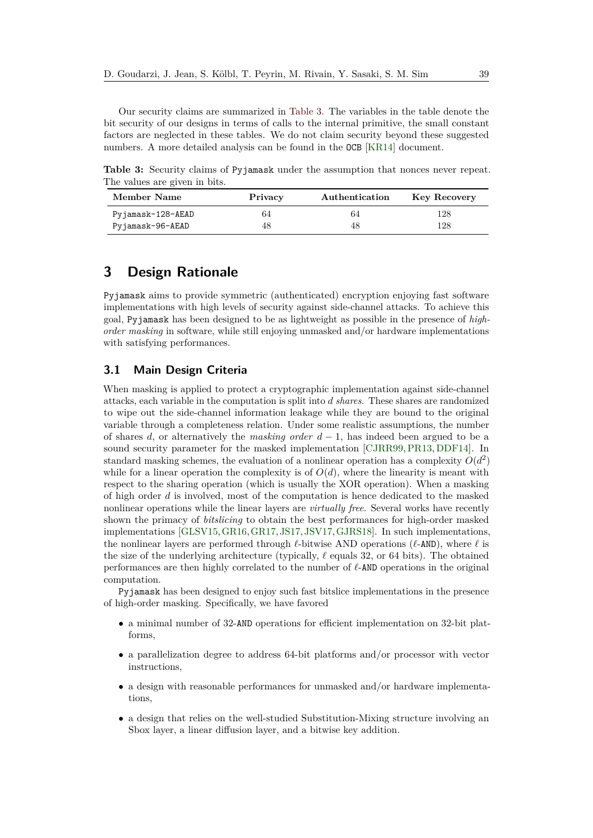Our security claims are summarized in [Table 3.](#page-8-1) The variables in the table denote the bit security of our designs in terms of calls to the internal primitive, the small constant factors are neglected in these tables. We do not claim security beyond these suggested numbers. A more detailed analysis can be found in the OCB [\[KR14\]](#page-27-1) document.

<span id="page-8-1"></span>**Table 3:** Security claims of Pyjamask under the assumption that nonces never repeat. The values are given in bits.

| Member Name       | Privacy | Authentication | <b>Key Recovery</b> |
|-------------------|---------|----------------|---------------------|
| Pyjamask-128-AEAD | 64      | 64             | 128                 |
| Pyjamask-96-AEAD  | 48      | 48             | 128                 |

# <span id="page-8-0"></span>**3 Design Rationale**

Pyjamask aims to provide symmetric (authenticated) encryption enjoying fast software implementations with high levels of security against side-channel attacks. To achieve this goal, Pyjamask has been designed to be as lightweight as possible in the presence of *highorder masking* in software, while still enjoying unmasked and/or hardware implementations with satisfying performances.

# **3.1 Main Design Criteria**

When masking is applied to protect a cryptographic implementation against side-channel attacks, each variable in the computation is split into *d shares*. These shares are randomized to wipe out the side-channel information leakage while they are bound to the original variable through a completeness relation. Under some realistic assumptions, the number of shares *d*, or alternatively the *masking order d* − 1, has indeed been argued to be a sound security parameter for the masked implementation [\[CJRR99,](#page-25-4) [PR13,](#page-28-2) [DDF14\]](#page-26-6). In standard masking schemes, the evaluation of a nonlinear operation has a complexity  $O(d^2)$ while for a linear operation the complexity is of  $O(d)$ , where the linearity is meant with respect to the sharing operation (which is usually the XOR operation). When a masking of high order *d* is involved, most of the computation is hence dedicated to the masked nonlinear operations while the linear layers are *virtually free*. Several works have recently shown the primacy of *bitslicing* to obtain the best performances for high-order masked implementations [\[GLSV15,](#page-26-1)[GR16,](#page-27-2)[GR17,](#page-27-0) [JS17,](#page-27-3) [JSV17,](#page-27-4)[GJRS18\]](#page-26-7). In such implementations, the nonlinear layers are performed through  $\ell$ -bitwise AND operations ( $\ell$ -AND), where  $\ell$  is the size of the underlying architecture (typically,  $\ell$  equals 32, or 64 bits). The obtained performances are then highly correlated to the number of  $\ell$ -AND operations in the original computation.

Pyjamask has been designed to enjoy such fast bitslice implementations in the presence of high-order masking. Specifically, we have favored

- a minimal number of 32-AND operations for efficient implementation on 32-bit platforms,
- a parallelization degree to address 64-bit platforms and/or processor with vector instructions,
- a design with reasonable performances for unmasked and/or hardware implementations,
- a design that relies on the well-studied Substitution-Mixing structure involving an Sbox layer, a linear diffusion layer, and a bitwise key addition.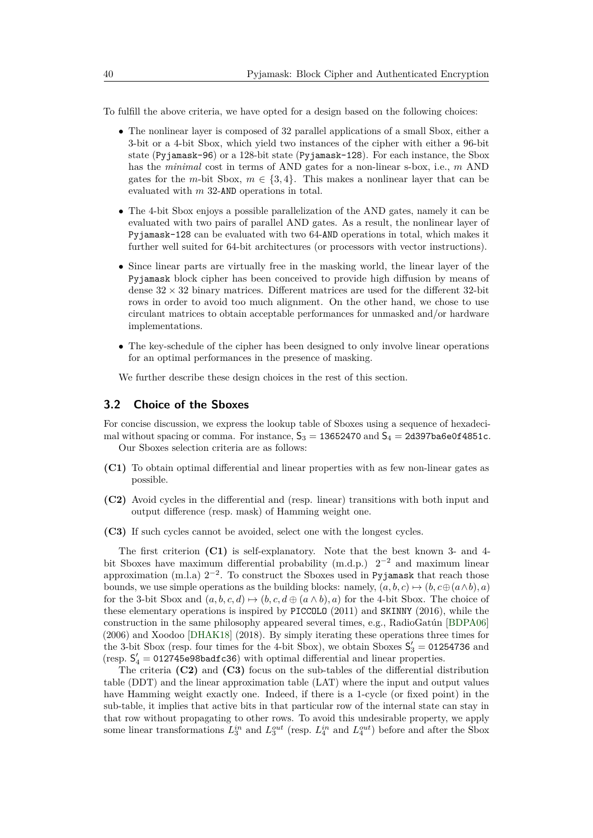To fulfill the above criteria, we have opted for a design based on the following choices:

- The nonlinear layer is composed of 32 parallel applications of a small Sbox, either a 3-bit or a 4-bit Sbox, which yield two instances of the cipher with either a 96-bit state (Pyjamask-96) or a 128-bit state (Pyjamask-128). For each instance, the Sbox has the *minimal* cost in terms of AND gates for a non-linear s-box, i.e., *m* AND gates for the *m*-bit Sbox,  $m \in \{3, 4\}$ . This makes a nonlinear layer that can be evaluated with *m* 32-AND operations in total.
- The 4-bit Sbox enjoys a possible parallelization of the AND gates, namely it can be evaluated with two pairs of parallel AND gates. As a result, the nonlinear layer of Pyjamask-128 can be evaluated with two 64-AND operations in total, which makes it further well suited for 64-bit architectures (or processors with vector instructions).
- Since linear parts are virtually free in the masking world, the linear layer of the Pyjamask block cipher has been conceived to provide high diffusion by means of dense  $32 \times 32$  binary matrices. Different matrices are used for the different  $32$ -bit rows in order to avoid too much alignment. On the other hand, we chose to use circulant matrices to obtain acceptable performances for unmasked and/or hardware implementations.
- The key-schedule of the cipher has been designed to only involve linear operations for an optimal performances in the presence of masking.

We further describe these design choices in the rest of this section.

### **3.2 Choice of the Sboxes**

For concise discussion, we express the lookup table of Sboxes using a sequence of hexadecimal without spacing or comma. For instance,  $S_3 = 13652470$  and  $S_4 = 2d397b$ a6e0f4851c. Our Sboxes selection criteria are as follows:

- **(C1)** To obtain optimal differential and linear properties with as few non-linear gates as possible.
- **(C2)** Avoid cycles in the differential and (resp. linear) transitions with both input and output difference (resp. mask) of Hamming weight one.
- **(C3)** If such cycles cannot be avoided, select one with the longest cycles.

The first criterion **(C1)** is self-explanatory. Note that the best known 3- and 4 bit Sboxes have maximum differential probability  $(m.d.p.)$   $2^{-2}$  and maximum linear approximation (m.l.a)  $2^{-2}$ . To construct the Sboxes used in Pyjamask that reach those bounds, we use simple operations as the building blocks: namely,  $(a, b, c) \mapsto (b, c \oplus (a \wedge b), a)$ for the 3-bit Sbox and  $(a, b, c, d) \mapsto (b, c, d \oplus (a \wedge b), a)$  for the 4-bit Sbox. The choice of these elementary operations is inspired by PICCOLO (2011) and SKINNY (2016), while the construction in the same philosophy appeared several times, e.g., RadioGatún [\[BDPA06\]](#page-25-5) (2006) and Xoodoo [\[DHAK18\]](#page-26-8) (2018). By simply iterating these operations three times for the 3-bit Sbox (resp. four times for the 4-bit Sbox), we obtain Sboxes  $S'_3 = 01254736$  and (resp.  $S_4' = 012745e98badfc36$ ) with optimal differential and linear properties.

The criteria **(C2)** and **(C3)** focus on the sub-tables of the differential distribution table (DDT) and the linear approximation table (LAT) where the input and output values have Hamming weight exactly one. Indeed, if there is a 1-cycle (or fixed point) in the sub-table, it implies that active bits in that particular row of the internal state can stay in that row without propagating to other rows. To avoid this undesirable property, we apply some linear transformations  $L_3^{in}$  and  $L_3^{out}$  (resp.  $L_4^{in}$  and  $L_4^{out}$ ) before and after the Sbox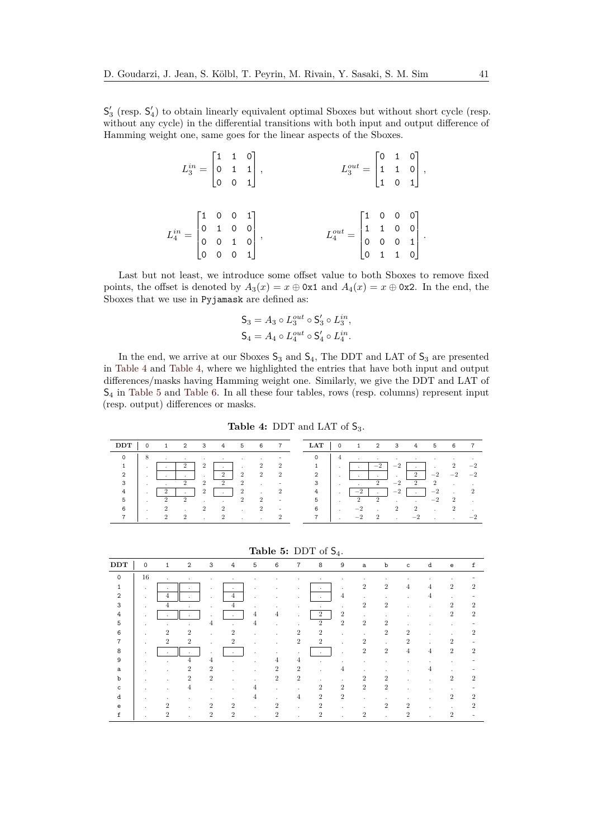$\mathsf{S}'_3$  (resp.  $\mathsf{S}'_4$ ) to obtain linearly equivalent optimal Sboxes but without short cycle (resp. without any cycle) in the differential transitions with both input and output difference of Hamming weight one, same goes for the linear aspects of the Sboxes.

|                                                                                                              |  | $L_3^{in} = \begin{bmatrix} 1 & 1 & 0 \\ 0 & 1 & 1 \\ 0 & 0 & 1 \end{bmatrix},$ | $L_3^{out} = \begin{bmatrix} 0 & 1 & 0 \ 1 & 1 & 0 \ 1 & 0 & 1 \end{bmatrix},$                                |  |
|--------------------------------------------------------------------------------------------------------------|--|---------------------------------------------------------------------------------|---------------------------------------------------------------------------------------------------------------|--|
| $L_4^{in} = \begin{bmatrix} 1 & 0 & 0 & 1 \\ 0 & 1 & 0 & 0 \\ 0 & 0 & 1 & 0 \\ 0 & 0 & 0 & 1 \end{bmatrix},$ |  |                                                                                 | $L_4^{out} = \begin{bmatrix} 1 & 0 & 0 & 0 \\ 1 & 1 & 0 & 0 \\ 0 & 0 & 0 & 1 \\ 0 & 1 & 1 & 0 \end{bmatrix}.$ |  |

Last but not least, we introduce some offset value to both Sboxes to remove fixed points, the offset is denoted by  $A_3(x) = x \oplus 0x1$  and  $A_4(x) = x \oplus 0x2$ . In the end, the Sboxes that we use in Pyjamask are defined as:

$$
\mathsf{S}_3 = A_3 \circ L_3^{out} \circ \mathsf{S}'_3 \circ L_3^{in},
$$
  
\n
$$
\mathsf{S}_4 = A_4 \circ L_4^{out} \circ \mathsf{S}'_4 \circ L_4^{in}.
$$

In the end, we arrive at our Sboxes  $S_3$  and  $S_4$ , The DDT and LAT of  $S_3$  are presented in [Table 4](#page-10-0) and [Table 4,](#page-10-0) where we highlighted the entries that have both input and output differences/masks having Hamming weight one. Similarly, we give the DDT and LAT of S<sup>4</sup> in [Table 5](#page-10-1) and [Table 6.](#page-11-0) In all these four tables, rows (resp. columns) represent input (resp. output) differences or masks.

**Table 4:** DDT and LAT of  $S_3$ .

<span id="page-10-0"></span>

| DI            |     |     | ≘             | 3             | 4             | 5              | 6              |                          | <b>LAT</b> | 0   |      | $\mathbf{2}$         | 3    | 4        | 5        | 6                    |          |
|---------------|-----|-----|---------------|---------------|---------------|----------------|----------------|--------------------------|------------|-----|------|----------------------|------|----------|----------|----------------------|----------|
|               |     | ٠   |               |               |               |                |                |                          |            | 4   |      |                      |      |          |          |                      |          |
|               | . . | . . | $\Omega$<br>∼ | $\Omega$<br>∠ | . .           |                | 2              |                          |            | . . |      | $-2$                 | $-2$ | . .      | . .      | $\ddot{\phantom{0}}$ | $-2$     |
| $\mathcal{L}$ | . . | . . | . .           | <b>A</b>      | $\Omega$<br>∠ | $\overline{2}$ | $\overline{2}$ | 2                        | 2          | . . | . .  | . .                  | . .  | $\Omega$ | $-9$     | $-^{\Omega}$         | $-2$     |
| 3             |     |     | $\Omega$      | $\Omega$      | $\Omega$      | $\Omega$       |                |                          | 3          |     |      | $\Omega$             | $-2$ | $\Omega$ | $\Omega$ |                      |          |
|               | . . |     | . .           | $\Omega$      | . .           | $\Omega$       |                |                          | 4          | . . | $-9$ |                      | $-2$ |          | $-2$     |                      | $\Omega$ |
| 5             |     |     | $\Omega$      |               |               | $\Omega$       | 2              | $\overline{\phantom{a}}$ | 5          |     |      | $\ddot{\phantom{0}}$ |      |          | $-2$     |                      |          |
|               | . . |     |               | $\Omega$      | $\Omega$      |                | 2              |                          | 6          | . . |      |                      |      | $\Omega$ |          |                      |          |
|               |     |     | $\Omega$      |               |               |                |                |                          |            |     |      | $\Omega$             |      |          |          |                      |          |

**Table 5:** DDT of S4.

<span id="page-10-1"></span>

| DDT           | $\mathbf 0$  |                | $\overline{2}$ | 3              | 4              | 5              | 6              | 7              | 8              | 9              | a              | b              | $\mathsf{C}$   | d            | e              | f |
|---------------|--------------|----------------|----------------|----------------|----------------|----------------|----------------|----------------|----------------|----------------|----------------|----------------|----------------|--------------|----------------|---|
| $\Omega$      | 16           | $\mathbf{r}$   | $\cdot$        | $\cdot$        | $\mathbf{r}$   |                |                |                |                |                | ٠.             |                |                |              |                |   |
| 1             | $\mathbf{r}$ | $\mathbf{r}$   | $\mathbf{r}$   |                | ÷              | $\mathbf{r}$   |                | ٠              |                | $\mathbf{r}$   | $\overline{2}$ | $\overline{2}$ | 4              | 4            | $\mathfrak{D}$ | 2 |
| $\mathcal{D}$ | $\cdot$      | 4              | $\mathbf{r}$   | $\cdot$        | $\overline{4}$ | $\cdot$        | ٠              | ٠              | $\mathbf{r}$   | $\overline{4}$ | $\sim$         | $\cdot$        |                | 4            |                |   |
| 3             | $\cdot$      | 4              | $\mathbf{r}$   | $\mathbf{r}$   | 4              | $\sim$         | $\mathbf{r}$   | ٠              | $\cdot$        | $\cdot$        | $\overline{2}$ | $\overline{2}$ |                | $\mathbf{r}$ | $\overline{2}$ | 2 |
| 4             |              |                | $\mathbf{r}$   |                | $\mathbf{r}$   | $\overline{4}$ | 4              | ÷.             | $\overline{2}$ | $\overline{2}$ | $\sim$         | $\cdot$        |                | $\sim$       | $\overline{2}$ | 2 |
| 5             | $\cdot$      | $\mathbf{r}$   | $\mathbf{r}$   | 4              | $\mathbf{r}$   | 4              | $\mathbf{r}$   | $\mathbf{r}$   | $\overline{2}$ | $\overline{2}$ | $\overline{2}$ | $\overline{2}$ |                |              | $\mathbf{r}$   |   |
| 6             | $\cdot$      | $\overline{2}$ | $\overline{2}$ | ٠              | $\overline{2}$ | $\mathbf{r}$   | $\mathbf{r}$   | $\overline{2}$ | $\overline{2}$ | $\mathbf{r}$   | $\sim$         | $\overline{2}$ | $\overline{2}$ | ٠            |                | 2 |
|               | $\cdot$      | $\overline{2}$ | $\overline{2}$ | $\sim$         | $\overline{2}$ | ÷.             |                | $\overline{2}$ | $\overline{2}$ | ÷.             | $\overline{2}$ | $\cdot$        | $\overline{2}$ | $\mathbf{r}$ | $\overline{2}$ |   |
| 8             |              |                | $\mathbf{r}$   | $\mathbf{r}$   |                | $\sim$         |                | ٠              |                | $\mathbf{r}$   | $\overline{2}$ | $\overline{2}$ | $\overline{4}$ | 4            | $\overline{2}$ | 2 |
| 9             | ٠            | $\blacksquare$ | $\overline{4}$ | $\overline{4}$ | $\sim$         | $\blacksquare$ | 4              | $\overline{4}$ |                | ٠              |                |                |                |              |                |   |
| a             |              |                | $\overline{2}$ | $\overline{2}$ | $\mathbf{r}$   | $\mathbf{r}$   | $\overline{2}$ | $\overline{2}$ | $\mathbf{r}$   | 4              | $\mathbf{r}$   |                |                | 4            |                |   |
| b             | $\cdot$      |                | $\overline{2}$ | $\overline{2}$ | ٠              | $\blacksquare$ | $\overline{2}$ | $\overline{2}$ | $\mathbf{r}$   | $\mathbf{r}$   | $\overline{2}$ | $\overline{2}$ |                | $\sim$       | $\overline{2}$ | 2 |
| C             | $\cdot$      |                | 4              |                |                | $\overline{4}$ | $\mathbf{r}$   | $\mathbf{r}$   | $\overline{2}$ | $\overline{2}$ | $\overline{2}$ | $\overline{2}$ |                | ٠            |                |   |
| d             | $\cdot$      |                | ٠.             |                | $\mathbf{r}$   | 4              | $\mathbf{r}$   | $\overline{4}$ | $\overline{2}$ | $\overline{2}$ | $\mathbf{r}$   | $\cdot$        |                | $\mathbf{r}$ | $\overline{2}$ | 2 |
| $\mathbf{e}$  | $\mathbf{r}$ | $\overline{2}$ | $\mathbf{r}$   | 2              | $\overline{2}$ | ٠              | $\overline{2}$ | ÷              | $\overline{2}$ | $\mathbf{r}$   |                | $\overline{2}$ | 2              |              |                | 2 |
| f             |              | 2              | ٠              | 2              | $\mathcal{D}$  |                | 2              |                | $\overline{2}$ |                | $\mathcal{D}$  |                | 2              |              | $\mathcal{D}$  |   |
|               |              |                |                |                |                |                |                |                |                |                |                |                |                |              |                |   |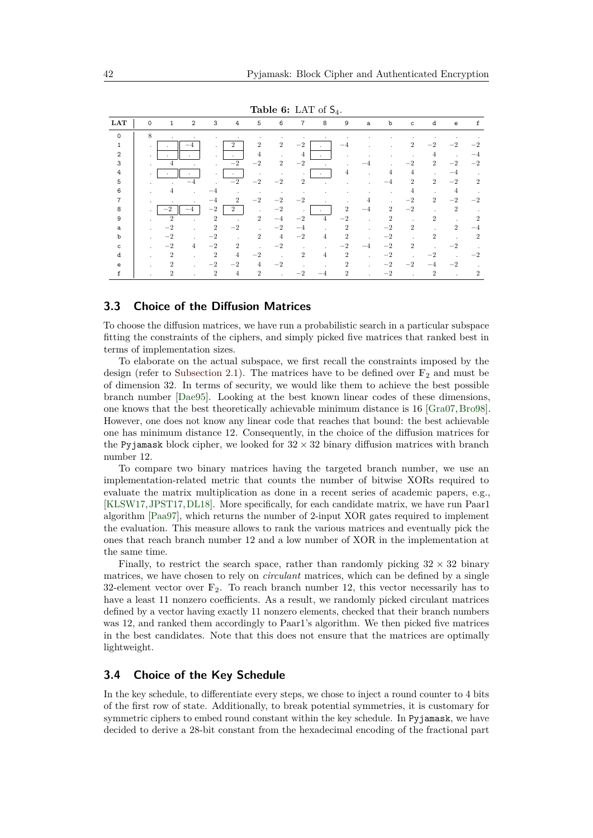<span id="page-11-0"></span>

|                |          |                |                |                |                             |                |                |                |                | <b>I</b>       |      |                |                |                |                |                |
|----------------|----------|----------------|----------------|----------------|-----------------------------|----------------|----------------|----------------|----------------|----------------|------|----------------|----------------|----------------|----------------|----------------|
| <b>LAT</b>     | $\Omega$ | $\mathbf{1}$   | $\mathfrak{D}$ | 3              | 4                           | 5              | 6              | $\overline{7}$ | 8              | 9              | a    | b              | $\mathbf{C}$   | d              | e              | f              |
| $\Omega$       | 8        | ٠              | ٠              |                |                             |                |                | $\cdot$        |                |                |      |                |                |                | ٠              |                |
| $\mathbf{1}$   | $\cdot$  |                | -4             | $\cdot$        | $\overline{2}$              | $\overline{2}$ | $\overline{2}$ | $-2$           |                | $-4$           |      | ÷              | $\overline{2}$ | $-2$           | $-2$           | $-2$           |
| $\mathfrak{D}$ | $\cdot$  |                | $\cdot$        | $\mathbf{r}$   | $\mathbf{r}$                | 4              | $\mathbf{r}$   | 4              | $\sim$         |                |      | ٠              |                | 4              | $\mathbf{r}$   | -4             |
| 3              | $\sim$   | 4              | ÷.             | $\mathbf{r}$   | $-2$                        | $-2$           | $\overline{2}$ | $-2$           | ÷.             |                |      |                | $-2$           | $\overline{2}$ | $-2$           | $-2$           |
| 4              |          |                |                | $\cdot$        | $\mathbf{r}$                | $\cdot$        |                |                | $\mathbf{r}$   | 4              |      | 4              | 4              |                | $-4$           |                |
| 5              |          |                | $-4$           |                | $-2$                        | $-2$           | $-2$           | $\overline{2}$ | $\mathbf{r}$   |                |      | $-4$           | $\overline{2}$ | $\overline{2}$ | $-2$           | $\overline{2}$ |
| 6              |          | 4              | a.             | -4             | ٠                           | $\cdot$        | $\cdot$        |                |                |                |      | ٠              | $\overline{4}$ | $\cdot$        | $\overline{4}$ |                |
| 7              |          |                |                | -4             | $\mathcal{D}_{\mathcal{L}}$ | $-2$           | $-2$           | $-2$           |                |                | 4    | ×.             | $-2$           | $\overline{2}$ | $-2$           | $-2$           |
| 8              |          | $^{-2}$        |                | $-2$           | 2                           | $\mathbf{r}$   | $-2$           | $\mathbf{r}$   |                | $\overline{2}$ | $-4$ | $\overline{2}$ | $-2$           | $\mathbf{r}$   | $\overline{2}$ |                |
| 9              |          | $\overline{2}$ | ¥.             | $\overline{2}$ | $\mathbf{r}$                | $\overline{2}$ | $^{-4}$        | $-2$           | $\overline{4}$ | $-2$           | ÷.   | $\overline{2}$ |                | $\overline{2}$ |                | 2              |
| a              |          | $-2$           | $\sim$         | $\overline{2}$ | $-2$                        | $\mathbf{r}$   | $-2$           | $-4$           |                | $\overline{2}$ |      | $-2$           | $\overline{2}$ |                | $\overline{2}$ | $-4$           |
| b              |          | $-2$           | $\sim$         | $-2$           |                             | $\overline{2}$ | $\overline{4}$ | $-2$           | $\overline{4}$ | $\overline{2}$ |      | $-2$           |                | $\overline{2}$ |                | $\overline{2}$ |
| c              |          | $-2$           | $\overline{4}$ | $-2$           | $\overline{2}$              |                | $-2$           | ×              | $\mathbf{r}$   | $^{-2}$        | -4   | $-2$           | $\overline{2}$ |                | $-2$           |                |
| d              |          | $\overline{2}$ | $\sim$         | $\overline{2}$ | $\overline{4}$              | $-2$           |                | $\overline{2}$ | $\overline{4}$ | $\overline{2}$ |      | $-2$           |                | $-2$           |                | $-2$           |
| е              |          | $\overline{2}$ | ×.             | $-2$           | $-2$                        | $\overline{4}$ | $-2$           |                | $\mathbf{r}$   | $\overline{2}$ |      | $-2$           | $-2$           | $-4$           | $-2$           |                |
| f              |          | $\overline{2}$ |                | $\overline{2}$ | $\overline{4}$              | $\overline{2}$ | ×              | $^{-2}$        | -4             | $\overline{2}$ |      | $-2$           |                | $\overline{2}$ |                | 2              |

**Table 6:** LAT of S4.

## **3.3 Choice of the Diffusion Matrices**

To choose the diffusion matrices, we have run a probabilistic search in a particular subspace fitting the constraints of the ciphers, and simply picked five matrices that ranked best in terms of implementation sizes.

To elaborate on the actual subspace, we first recall the constraints imposed by the design (refer to [Subsection 2.1\)](#page-2-3). The matrices have to be defined over  $\mathbb{F}_2$  and must be of dimension 32. In terms of security, we would like them to achieve the best possible branch number [\[Dae95\]](#page-25-3). Looking at the best known linear codes of these dimensions, one knows that the best theoretically achievable minimum distance is 16 [\[Gra07,](#page-27-5)[Bro98\]](#page-25-6). However, one does not know any linear code that reaches that bound: the best achievable one has minimum distance 12. Consequently, in the choice of the diffusion matrices for the Pyjamask block cipher, we looked for  $32 \times 32$  binary diffusion matrices with branch number 12.

To compare two binary matrices having the targeted branch number, we use an implementation-related metric that counts the number of bitwise XORs required to evaluate the matrix multiplication as done in a recent series of academic papers, e.g., [\[KLSW17,](#page-27-6)[JPST17,](#page-27-7)[DL18\]](#page-26-9). More specifically, for each candidate matrix, we have run Paar1 algorithm [\[Paa97\]](#page-28-3), which returns the number of 2-input XOR gates required to implement the evaluation. This measure allows to rank the various matrices and eventually pick the ones that reach branch number 12 and a low number of XOR in the implementation at the same time.

Finally, to restrict the search space, rather than randomly picking  $32 \times 32$  binary matrices, we have chosen to rely on *circulant* matrices, which can be defined by a single 32-element vector over  $\mathbb{F}_2$ . To reach branch number 12, this vector necessarily has to have a least 11 nonzero coefficients. As a result, we randomly picked circulant matrices defined by a vector having exactly 11 nonzero elements, checked that their branch numbers was 12, and ranked them accordingly to Paar1's algorithm. We then picked five matrices in the best candidates. Note that this does not ensure that the matrices are optimally lightweight.

### **3.4 Choice of the Key Schedule**

In the key schedule, to differentiate every steps, we chose to inject a round counter to 4 bits of the first row of state. Additionally, to break potential symmetries, it is customary for symmetric ciphers to embed round constant within the key schedule. In Pyjamask, we have decided to derive a 28-bit constant from the hexadecimal encoding of the fractional part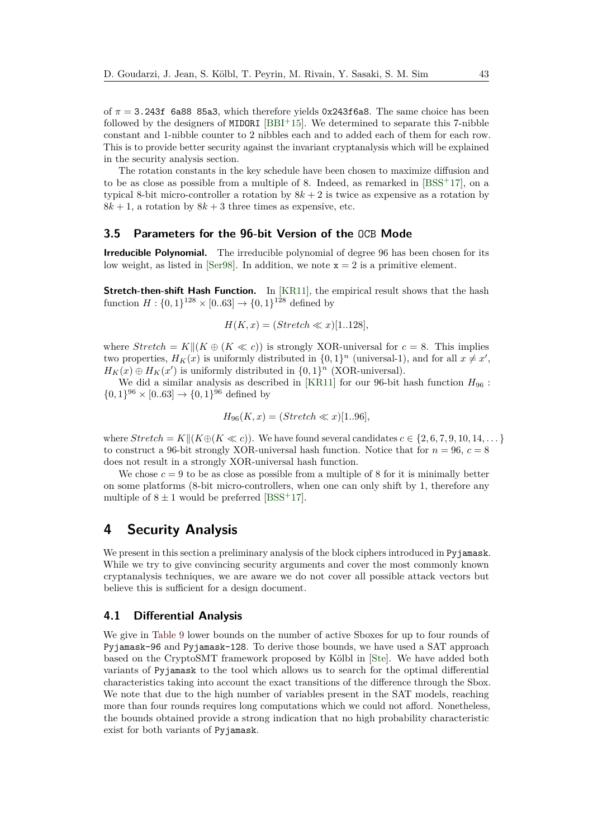of *π* = 3.243f 6a88 85a3, which therefore yields 0x243f6a8. The same choice has been followed by the designers of  $MDDRI$  [\[BBI](#page-25-7)+15]. We determined to separate this 7-nibble constant and 1-nibble counter to 2 nibbles each and to added each of them for each row. This is to provide better security against the invariant cryptanalysis which will be explained in the security analysis section.

The rotation constants in the key schedule have been chosen to maximize diffusion and to be as close as possible from a multiple of 8. Indeed, as remarked in  $[BSS^+17]$  $[BSS^+17]$ , on a typical 8-bit micro-controller a rotation by  $8k + 2$  is twice as expensive as a rotation by  $8k + 1$ , a rotation by  $8k + 3$  three times as expensive, etc.

# <span id="page-12-1"></span>**3.5 Parameters for the 96-bit Version of the** OCB **Mode**

**Irreducible Polynomial.** The irreducible polynomial of degree 96 has been chosen for its low weight, as listed in [\[Ser98\]](#page-28-4). In addition, we note  $x = 2$  is a primitive element.

**Stretch-then-shift Hash Function.** In [\[KR11\]](#page-27-8), the empirical result shows that the hash function  $H: \{0, 1\}^{128} \times [0.63] \rightarrow \{0, 1\}^{128}$  defined by

$$
H(K, x) = (Stre  $x$ )[1..128],
$$

where  $Stretch = K|| (K \oplus (K \ll c))$  is strongly XOR-universal for  $c = 8$ . This implies two properties,  $H_K(x)$  is uniformly distributed in  $\{0,1\}^n$  (universal-1), and for all  $x \neq x'$ ,  $H_K(x) \oplus H_K(x')$  is uniformly distributed in  $\{0,1\}^n$  (XOR-universal).

We did a similar analysis as described in [\[KR11\]](#page-27-8) for our 96-bit hash function *H*<sup>96</sup> :  $\{0,1\}^{96} \times [0.63] \rightarrow \{0,1\}^{96}$  defined by

$$
H_{96}(K, x) = (Stre x)[1..96],
$$

where  $Stretch = K||(K \oplus (K \ll c))$ . We have found several candidates  $c \in \{2, 6, 7, 9, 10, 14, \dots\}$ to construct a 96-bit strongly XOR-universal hash function. Notice that for  $n = 96$ ,  $c = 8$ does not result in a strongly XOR-universal hash function.

We chose  $c = 9$  to be as close as possible from a multiple of 8 for it is minimally better on some platforms (8-bit micro-controllers, when one can only shift by 1, therefore any multiple of  $8 \pm 1$  would be preferred [\[BSS](#page-25-8)<sup>+</sup>17].

# <span id="page-12-0"></span>**4 Security Analysis**

We present in this section a preliminary analysis of the block ciphers introduced in Pyjamask. While we try to give convincing security arguments and cover the most commonly known cryptanalysis techniques, we are aware we do not cover all possible attack vectors but believe this is sufficient for a design document.

# **4.1 Differential Analysis**

We give in [Table 9](#page-14-0) lower bounds on the number of active Sboxes for up to four rounds of Pyjamask-96 and Pyjamask-128. To derive those bounds, we have used a SAT approach based on the CryptoSMT framework proposed by Kölbl in [\[Ste\]](#page-28-5). We have added both variants of Pyjamask to the tool which allows us to search for the optimal differential characteristics taking into account the exact transitions of the difference through the Sbox. We note that due to the high number of variables present in the SAT models, reaching more than four rounds requires long computations which we could not afford. Nonetheless, the bounds obtained provide a strong indication that no high probability characteristic exist for both variants of Pyjamask.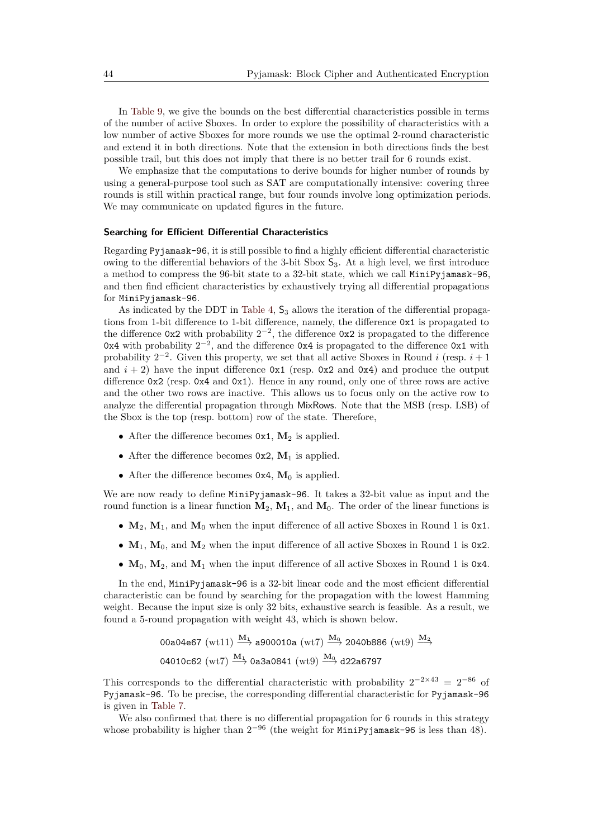In [Table 9,](#page-14-0) we give the bounds on the best differential characteristics possible in terms of the number of active Sboxes. In order to explore the possibility of characteristics with a low number of active Sboxes for more rounds we use the optimal 2-round characteristic and extend it in both directions. Note that the extension in both directions finds the best possible trail, but this does not imply that there is no better trail for 6 rounds exist.

We emphasize that the computations to derive bounds for higher number of rounds by using a general-purpose tool such as SAT are computationally intensive: covering three rounds is still within practical range, but four rounds involve long optimization periods. We may communicate on updated figures in the future.

#### **Searching for Efficient Differential Characteristics**

Regarding Pyjamask-96, it is still possible to find a highly efficient differential characteristic owing to the differential behaviors of the 3-bit Sbox  $S_3$ . At a high level, we first introduce a method to compress the 96-bit state to a 32-bit state, which we call MiniPyjamask-96, and then find efficient characteristics by exhaustively trying all differential propagations for MiniPyjamask-96.

As indicated by the DDT in [Table 4,](#page-10-0)  $S_3$  allows the iteration of the differential propagations from 1-bit difference to 1-bit difference, namely, the difference 0x1 is propagated to the difference  $0x2$  with probability  $2^{-2}$ , the difference  $0x2$  is propagated to the difference 0x4 with probability  $2^{-2}$ , and the difference 0x4 is propagated to the difference 0x1 with probability  $2^{-2}$ . Given this property, we set that all active Sboxes in Round *i* (resp.  $i + 1$ ) and  $i + 2$ ) have the input difference  $0x1$  (resp.  $0x2$  and  $0x4$ ) and produce the output difference  $0x2$  (resp.  $0x4$  and  $0x1$ ). Hence in any round, only one of three rows are active and the other two rows are inactive. This allows us to focus only on the active row to analyze the differential propagation through MixRows. Note that the MSB (resp. LSB) of the Sbox is the top (resp. bottom) row of the state. Therefore,

- After the difference becomes  $0x1$ ,  $M_2$  is applied.
- After the difference becomes  $0x2$ ,  $M_1$  is applied.
- After the difference becomes  $0x4$ ,  $M_0$  is applied.

We are now ready to define MiniPyjamask-96. It takes a 32-bit value as input and the round function is a linear function  $M_2$ ,  $M_1$ , and  $M_0$ . The order of the linear functions is

- $M_2$ ,  $M_1$ , and  $M_0$  when the input difference of all active Sboxes in Round 1 is 0x1.
- $M_1$ ,  $M_0$ , and  $M_2$  when the input difference of all active Sboxes in Round 1 is 0x2.
- **M**0, **M**2, and **M**<sup>1</sup> when the input difference of all active Sboxes in Round 1 is 0x4.

In the end, MiniPyjamask-96 is a 32-bit linear code and the most efficient differential characteristic can be found by searching for the propagation with the lowest Hamming weight. Because the input size is only 32 bits, exhaustive search is feasible. As a result, we found a 5-round propagation with weight 43, which is shown below.

> 00a04e67 (wt11)  $\frac{M_1}{\longrightarrow}$  a900010a (wt7)  $\frac{M_0}{\longrightarrow}$  2040b886 (wt9)  $\frac{M_2}{\longrightarrow}$  $04010c62$  (wt<sub>7</sub>)  $\xrightarrow{M_1} 0a3a0841$  (wt9)  $\xrightarrow{M_0} 0.22a6797$

This corresponds to the differential characteristic with probability  $2^{-2\times43} = 2^{-86}$  of Pyjamask-96. To be precise, the corresponding differential characteristic for Pyjamask-96 is given in [Table 7.](#page-14-1)

We also confirmed that there is no differential propagation for 6 rounds in this strategy whose probability is higher than  $2^{-96}$  (the weight for MiniPyjamask-96 is less than 48).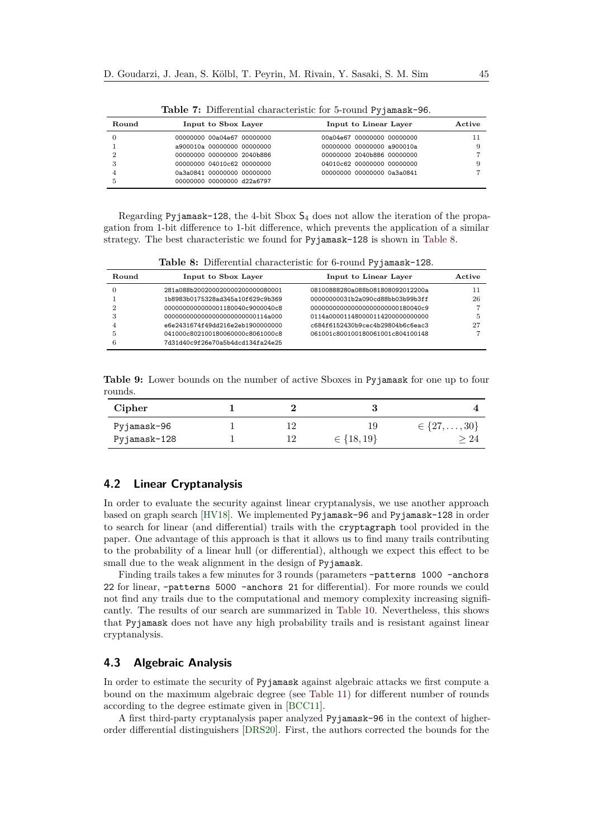<span id="page-14-1"></span>

| Round | Input to Sbox Layer        | Input to Linear Layer      | Active |
|-------|----------------------------|----------------------------|--------|
|       | 00000000 00a04e67 00000000 | 00a04e67 00000000 00000000 |        |
|       | a900010a 00000000 00000000 | 00000000 00000000 a900010a | 9      |
| ິ     | 00000000 00000000 2040b886 | 00000000 2040b886 00000000 |        |
|       | 00000000 04010c62 00000000 | 04010c62 00000000 00000000 |        |
|       | 0a3a0841 00000000 00000000 | 00000000 00000000 0a3a0841 |        |
|       | 00000000 00000000 d22a6797 |                            |        |

**Table 7:** Differential characteristic for 5-round Pyjamask-96.

Regarding Pyjamask-128, the 4-bit Sbox  $S_4$  does not allow the iteration of the propagation from 1-bit difference to 1-bit difference, which prevents the application of a similar strategy. The best characteristic we found for Pyjamask-128 is shown in [Table 8.](#page-14-2)

**Table 8:** Differential characteristic for 6-round Pyjamask-128.

<span id="page-14-2"></span>

| Round | Input to Sbox Layer               | Input to Linear Layer             | Active |
|-------|-----------------------------------|-----------------------------------|--------|
|       | 281a088b200200020000200000080001  | 08100888280a088b081808092012200a  |        |
|       | 1b8983b0175328ad345a10f629c9b369  | 00000000031b2a090cd88bb03b99b3ff  | 26     |
|       | 0000000000000001180040c9000040c8  | 0000000000000000000000000180040c9 |        |
|       | 00000000000000000000000000114a000 | 0114a0000114800001142000000000000 | 5      |
|       | e6e2431674f49dd216e2eb1900000000  | c684f6152430b9cec4b29804b6c6eac3  | 27     |
|       | 041000c802100180060000c8061000c8  | 061001c800100180061001c804100148  |        |
|       | 7d31d40c9f26e70a5b4dcd134fa24e25  |                                   |        |

<span id="page-14-0"></span>**Table 9:** Lower bounds on the number of active Sboxes in Pyjamask for one up to four rounds.

| Cipher       |     |                  |                          |
|--------------|-----|------------------|--------------------------|
| Pyjamask-96  |     |                  | $\in \{27, \ldots, 30\}$ |
| Pyjamask-128 | 1 വ | $\in \{18, 19\}$ |                          |

# **4.2 Linear Cryptanalysis**

In order to evaluate the security against linear cryptanalysis, we use another approach based on graph search [\[HV18\]](#page-27-9). We implemented Pyjamask-96 and Pyjamask-128 in order to search for linear (and differential) trails with the cryptagraph tool provided in the paper. One advantage of this approach is that it allows us to find many trails contributing to the probability of a linear hull (or differential), although we expect this effect to be small due to the weak alignment in the design of Pyjamask.

Finding trails takes a few minutes for 3 rounds (parameters –patterns 1000 –anchors 22 for linear, –patterns 5000 –anchors 21 for differential). For more rounds we could not find any trails due to the computational and memory complexity increasing significantly. The results of our search are summarized in [Table 10.](#page-15-0) Nevertheless, this shows that Pyjamask does not have any high probability trails and is resistant against linear cryptanalysis.

# **4.3 Algebraic Analysis**

In order to estimate the security of Pyjamask against algebraic attacks we first compute a bound on the maximum algebraic degree (see [Table 11\)](#page-15-1) for different number of rounds according to the degree estimate given in [\[BCC11\]](#page-25-9).

A first third-party cryptanalysis paper analyzed Pyjamask-96 in the context of higherorder differential distinguishers [\[DRS20\]](#page-26-10). First, the authors corrected the bounds for the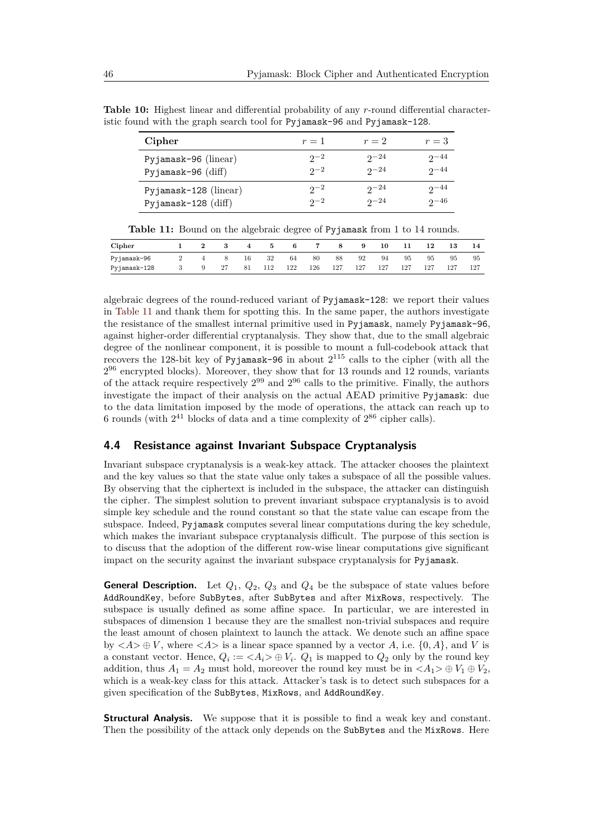| Cipher                   | $r=1$    | $r=2$     | $r=3$     |
|--------------------------|----------|-----------|-----------|
| Pyjamask-96 ( $linear$ ) | $2^{-2}$ | $2^{-24}$ | $2^{-44}$ |
| Pyjamask-96 $(diff)$     | $2^{-2}$ | $2^{-24}$ | $2 - 44$  |
| Pyjamask-128 (linear)    | $2^{-2}$ | $2^{-24}$ | $2^{-44}$ |
| Pyjamask-128 $(diff)$    | $2^{2}$  | $2^{-24}$ | $2^{-46}$ |

<span id="page-15-0"></span>**Table 10:** Highest linear and differential probability of any *r*-round differential characteristic found with the graph search tool for Pyjamask-96 and Pyjamask-128.

| Table 11: Bound on the algebraic degree of Pyjamask from 1 to 14 rounds. |  |  |  |
|--------------------------------------------------------------------------|--|--|--|
|--------------------------------------------------------------------------|--|--|--|

<span id="page-15-1"></span>

| Cipher       |  |    |    |     |     |     |     |     | 10  |     |     | 13  | 14  |
|--------------|--|----|----|-----|-----|-----|-----|-----|-----|-----|-----|-----|-----|
| Pyjamask-96  |  |    | 16 | 32  | 64  | 80  | 88  | 92  | 94  | 95  | 95  | 95  | 95  |
| Pyjamask-128 |  | 27 | 81 | 112 | 122 | 126 | 127 | 127 | 127 | 127 | 127 | 127 | 127 |

algebraic degrees of the round-reduced variant of Pyjamask-128: we report their values in [Table 11](#page-15-1) and thank them for spotting this. In the same paper, the authors investigate the resistance of the smallest internal primitive used in Pyjamask, namely Pyjamask-96, against higher-order differential cryptanalysis. They show that, due to the small algebraic degree of the nonlinear component, it is possible to mount a full-codebook attack that recovers the 128-bit key of Pyjamask-96 in about  $2^{115}$  calls to the cipher (with all the  $2^{96}$  encrypted blocks). Moreover, they show that for 13 rounds and 12 rounds, variants of the attack require respectively  $2^{99}$  and  $2^{96}$  calls to the primitive. Finally, the authors investigate the impact of their analysis on the actual AEAD primitive Pyjamask: due to the data limitation imposed by the mode of operations, the attack can reach up to 6 rounds (with  $2^{41}$  blocks of data and a time complexity of  $2^{86}$  cipher calls).

# **4.4 Resistance against Invariant Subspace Cryptanalysis**

Invariant subspace cryptanalysis is a weak-key attack. The attacker chooses the plaintext and the key values so that the state value only takes a subspace of all the possible values. By observing that the ciphertext is included in the subspace, the attacker can distinguish the cipher. The simplest solution to prevent invariant subspace cryptanalysis is to avoid simple key schedule and the round constant so that the state value can escape from the subspace. Indeed, Pyjamask computes several linear computations during the key schedule, which makes the invariant subspace cryptanalysis difficult. The purpose of this section is to discuss that the adoption of the different row-wise linear computations give significant impact on the security against the invariant subspace cryptanalysis for Pyjamask.

**General Description.** Let  $Q_1$ ,  $Q_2$ ,  $Q_3$  and  $Q_4$  be the subspace of state values before AddRoundKey, before SubBytes, after SubBytes and after MixRows, respectively. The subspace is usually defined as some affine space. In particular, we are interested in subspaces of dimension 1 because they are the smallest non-trivial subspaces and require the least amount of chosen plaintext to launch the attack. We denote such an affine space by  $\langle A \rangle \oplus V$ , where  $\langle A \rangle$  is a linear space spanned by a vector A, i.e.  $\{0, A\}$ , and V is a constant vector. Hence,  $Q_i := \langle A_i \rangle \oplus V_i$ .  $Q_1$  is mapped to  $Q_2$  only by the round key addition, thus  $A_1 = A_2$  must hold, moreover the round key must be in  $\langle A_1 \rangle \oplus V_1 \oplus V_2$ , which is a weak-key class for this attack. Attacker's task is to detect such subspaces for a given specification of the SubBytes, MixRows, and AddRoundKey.

**Structural Analysis.** We suppose that it is possible to find a weak key and constant. Then the possibility of the attack only depends on the SubBytes and the MixRows. Here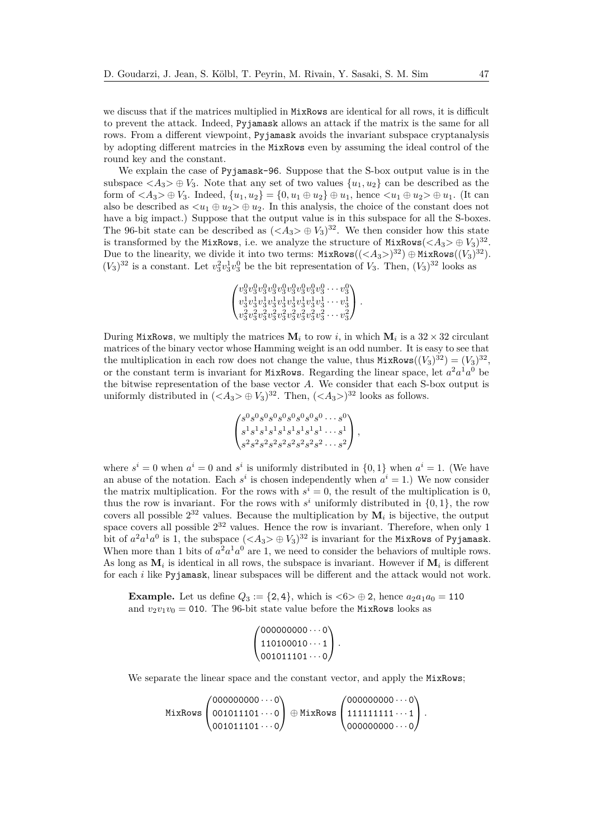we discuss that if the matrices multiplied in MixRows are identical for all rows, it is difficult to prevent the attack. Indeed, Pyjamask allows an attack if the matrix is the same for all rows. From a different viewpoint, Pyjamask avoids the invariant subspace cryptanalysis by adopting different matrcies in the MixRows even by assuming the ideal control of the round key and the constant.

We explain the case of Pyjamask-96. Suppose that the S-box output value is in the subspace  $\langle A_3 \rangle \oplus V_3$ . Note that any set of two values  $\{u_1, u_2\}$  can be described as the form of  $\langle A_3 \rangle \oplus V_3$ . Indeed,  $\{u_1, u_2\} = \{0, u_1 \oplus u_2\} \oplus u_1$ , hence  $\langle u_1 \oplus u_2 \rangle \oplus u_1$ . (It can also be described as  $\langle u_1 \oplus u_2 \rangle \oplus u_2$ . In this analysis, the choice of the constant does not have a big impact.) Suppose that the output value is in this subspace for all the S-boxes. The 96-bit state can be described as  $(*A*<sub>3</sub>> $) \oplus V_3$ <sup>32</sup>. We then consider how this state$ is transformed by the MixRows, i.e. we analyze the structure of  $MixRows( $A_3 > \oplus V_3)^{32}$ .$ Due to the linearity, we divide it into two terms:  $\text{MixRows}((<\!A_3>)^{32}) \oplus \text{MixRows}((V_3)^{32})$ .  $(V_3)^{32}$  is a constant. Let  $v_3^2v_3^1v_3^0$  be the bit representation of  $V_3$ . Then,  $(V_3)^{32}$  looks as

 *v* 0 3 *v* 0 3 *v* 0 3 *v* 0 3 *v* 0 3 *v* 0 3 *v* 0 3 *v* 0 3 *v* 0 3 · · · *v* 0 3 *v* 1 3 *v* 1 3 *v* 1 3 *v* 1 3 *v* 1 3 *v* 1 3 *v* 1 3 *v* 1 3 *v* 1 3 · · · *v* 1 3 *v* 2 3 *v* 2 3 *v* 2 3 *v* 2 3 *v* 2 3 *v* 2 3 *v* 2 3 *v* 2 3 *v* 2 3 · · · *v* 2 3 *.*

During MixRows, we multiply the matrices  $M_i$  to row *i*, in which  $M_i$  is a  $32 \times 32$  circulant matrices of the binary vector whose Hamming weight is an odd number. It is easy to see that the multiplication in each row does not change the value, thus  $MixRows((V_3)^{32}) = (V_3)^{32}$ , or the constant term is invariant for MixRows. Regarding the linear space, let  $a^2a^1a^0$  be the bitwise representation of the base vector *A*. We consider that each S-box output is uniformly distributed in  $(*A*<sub>3</sub>> $) \oplus V_3$ <sup>32</sup>. Then,  $(*A*<sub>3</sub> $)$ <sup>32</sup> looks as follows.$$ 

$$
\begin{pmatrix} s^0 s^0 s^0 s^0 s^0 s^0 s^0 s^0 s^0 s^0 \cdots s^0 \\ s^1 s^1 s^1 s^1 s^1 s^1 s^1 s^1 s^1 \cdots s^1 \\ s^2 s^2 s^2 s^2 s^2 s^2 s^2 s^2 s^2 s^2 \cdots s^2 \end{pmatrix},
$$

where  $s^i = 0$  when  $a^i = 0$  and  $s^i$  is uniformly distributed in  $\{0, 1\}$  when  $a^i = 1$ . (We have an abuse of the notation. Each  $s^i$  is chosen independently when  $a^i = 1$ .) We now consider the matrix multiplication. For the rows with  $s^i = 0$ , the result of the multiplication is 0, thus the row is invariant. For the rows with  $s^i$  uniformly distributed in  $\{0,1\}$ , the row covers all possible  $2^{32}$  values. Because the multiplication by  $M_i$  is bijective, the output space covers all possible  $2^{32}$  values. Hence the row is invariant. Therefore, when only 1 bit of  $a^2a^1a^0$  is 1, the subspace  $(<\!A_3\!> \oplus V_3)^{32}$  is invariant for the MixRows of Pyjamask. When more than 1 bits of  $a^2a^1a^0$  are 1, we need to consider the behaviors of multiple rows. As long as  $M_i$  is identical in all rows, the subspace is invariant. However if  $M_i$  is different for each *i* like Pyjamask, linear subspaces will be different and the attack would not work.

**Example.** Let us define  $Q_3 := \{2, 4\}$ , which is  $\langle 6 \rangle \oplus 2$ , hence  $a_2 a_1 a_0 = 110$ and  $v_2v_1v_0 = 010$ . The 96-bit state value before the MixRows looks as

```
\sqrt{ }\mathcal{L}000000000 \cdots 0110100010...1001011101...0<sup>/</sup>
                         .
```
We separate the linear space and the constant vector, and apply the MixRows;

MixRows  $\sqrt{ }$  $\mathcal{L}$  $000000000 \cdots 0$  $001011101...0$  $001011101...0$  $\setminus$  <sup>⊕</sup> MixRows  $\sqrt{ }$  $\overline{1}$  $000000000 \cdots 0$  $11111111...$  $000000000 \cdots 0$ A. *.*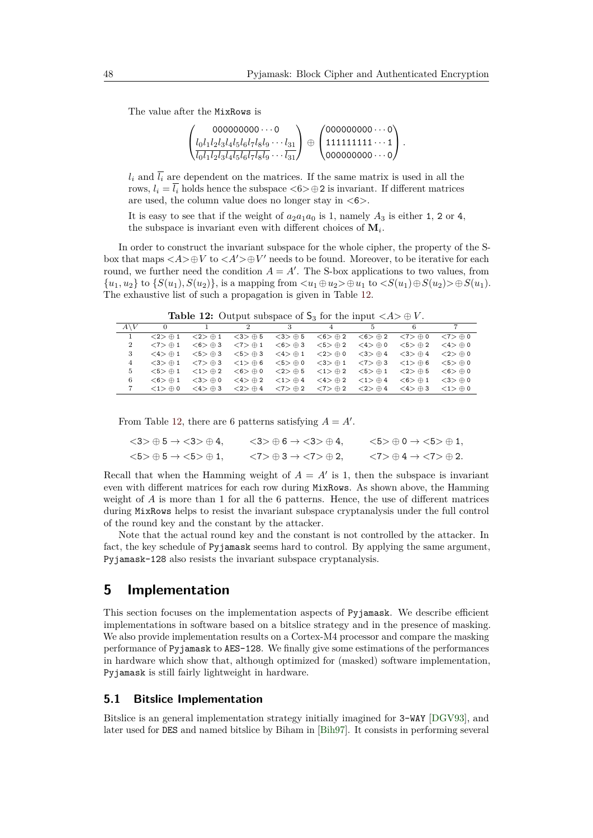The value after the MixRows is

$$
\left(\begin{matrix} 000000000\cdots 0 \\ l_0l_1l_2l_3l_4l_5l_6l_7l_8l_9\cdots l_{31} \\ \overline{l_0l_1l_2l_3l_4l_5l_6l_7l_8l_9\cdots l_{31}} \end{matrix}\right)\oplus \left(\begin{matrix} 000000000\cdots 0 \\ 11111111\cdots 1 \\ 000000000\cdots 0 \end{matrix}\right).
$$

 $l_i$  and  $\overline{l_i}$  are dependent on the matrices. If the same matrix is used in all the rows,  $l_i = \overline{l_i}$  holds hence the subspace  $\langle 6 \rangle \oplus 2$  is invariant. If different matrices are used, the column value does no longer stay in *<*6*>*.

It is easy to see that if the weight of  $a_2a_1a_0$  is 1, namely  $A_3$  is either 1, 2 or 4, the subspace is invariant even with different choices of  $M_i$ .

In order to construct the invariant subspace for the whole cipher, the property of the Sbox that maps  $\langle A \rangle \oplus V$  to  $\langle A' \rangle \oplus V'$  needs to be found. Moreover, to be iterative for each round, we further need the condition  $A = A'$ . The S-box applications to two values, from  $\{u_1, u_2\}$  to  $\{S(u_1), S(u_2)\}$ , is a mapping from  $\langle u_1 \oplus u_2 \rangle \oplus u_1$  to  $\langle S(u_1) \oplus S(u_2) \rangle \oplus S(u_1)$ . The exhaustive list of such a propagation is given in Table [12.](#page-17-1)

**Table 12:** Output subspace of  $S_3$  for the input  $\langle A \rangle \oplus V$ .

<span id="page-17-1"></span>

|    |                              |                                    | 2                            |                              |                              | 5.                           |                              |                              |
|----|------------------------------|------------------------------------|------------------------------|------------------------------|------------------------------|------------------------------|------------------------------|------------------------------|
|    | $\langle 2 \rangle \oplus 1$ | $<2> \oplus 1$                     | $<$ 3 $>$ $\oplus$ 5         | $<$ 3 $>$ $\oplus$ 5         | $<$ 6 $>$ $\oplus$ 2         | $<$ 6 $>$ $\oplus$ 2         | $\langle 7 \rangle \oplus 0$ | $\langle 7 \rangle \oplus 0$ |
| 2  | $\langle 7 \rangle \oplus 1$ | $<$ 6 $>$ $\oplus$ 3               | $\langle 7 \rangle \oplus 1$ | $<$ 6 $>$ $\oplus$ 3         | $<5> \oplus 2$               | $\lt4$ $>$ $\div$ 0          | $<5> \oplus 2$               | $\langle 4 \rangle \oplus 0$ |
| 3  | $\langle 4 \rangle \oplus 1$ | $<5$ $\rightarrow$ $\rightarrow$ 3 | $<5$ $>$ $\oplus$ 3          | $<$ 4 $>$ $\oplus$ 1         | $\langle 2 \rangle \oplus 0$ | $<$ 3 $>$ $\oplus$ 4         | $<$ 3 $>$ $\oplus$ 4         | $\langle 2 \rangle \oplus 0$ |
| 4  | $\langle 3 \rangle \oplus 1$ | $< 7 > \oplus 3$                   | $\langle 1 \rangle \oplus 6$ | $<5> \oplus 0$               | $<$ 3 $>$ $\oplus$ 1         | $< 7 > \oplus 3$             | $\lt 1$ $>$ $\oplus$ 6       | $<5$ $>$ $\oplus$ 0          |
| 5. | $<5> \oplus 1$               | $\langle 1 \rangle \oplus 2$       | $<$ 6 $>$ $\oplus$ 0         | $<$ 2 $>$ $\oplus$ 5         | $\langle 1 \rangle \oplus 2$ | $<5> \oplus 1$               | $<2> \oplus 5$               | $<$ 6 $>$ $\oplus$ 0         |
| 6  | $<$ 6 $>$ $\oplus$ 1         | $<$ 3 $>$ $\oplus$ 0               | $<$ 4 $>$ $\oplus$ 2         | $\langle 1 \rangle \oplus 4$ | $<$ 4 $>$ $\oplus$ 2         | $\langle 1 \rangle \oplus 4$ | $<$ 6 $>$ $\oplus$ 1         | $\langle 3 \rangle \oplus 0$ |
|    | $\langle 1 \rangle \oplus 0$ | $\langle 4 \rangle \oplus 3$       | $\langle 2 \rangle \oplus 4$ | $\langle 7 \rangle \oplus 2$ | $\langle 7 \rangle \oplus 2$ | $<$ 2 $>$ $\oplus$ 4         | $\langle 4 \rangle \oplus 3$ | $\langle 1 \rangle \oplus 0$ |

From Table [12,](#page-17-1) there are 6 patterns satisfying  $A = A'$ .

$$
\langle 3 \rangle \oplus 5 \rightarrow \langle 3 \rangle \oplus 4, \qquad \langle 3 \rangle \oplus 6 \rightarrow \langle 3 \rangle \oplus 4, \qquad \langle 5 \rangle \oplus 0 \rightarrow \langle 5 \rangle \oplus 1,
$$
  

$$
\langle 5 \rangle \oplus 5 \rightarrow \langle 5 \rangle \oplus 1, \qquad \langle 7 \rangle \oplus 3 \rightarrow \langle 7 \rangle \oplus 2, \qquad \langle 7 \rangle \oplus 4 \rightarrow \langle 7 \rangle \oplus 2.
$$

Recall that when the Hamming weight of  $A = A'$  is 1, then the subspace is invariant even with different matrices for each row during MixRows. As shown above, the Hamming weight of *A* is more than 1 for all the 6 patterns. Hence, the use of different matrices during MixRows helps to resist the invariant subspace cryptanalysis under the full control of the round key and the constant by the attacker.

Note that the actual round key and the constant is not controlled by the attacker. In fact, the key schedule of Pyjamask seems hard to control. By applying the same argument, Pyjamask-128 also resists the invariant subspace cryptanalysis.

# <span id="page-17-0"></span>**5 Implementation**

This section focuses on the implementation aspects of Pyjamask. We describe efficient implementations in software based on a bitslice strategy and in the presence of masking. We also provide implementation results on a Cortex-M4 processor and compare the masking performance of Pyjamask to AES-128. We finally give some estimations of the performances in hardware which show that, although optimized for (masked) software implementation, Pyjamask is still fairly lightweight in hardware.

### **5.1 Bitslice Implementation**

Bitslice is an general implementation strategy initially imagined for 3-WAY [\[DGV93\]](#page-26-3), and later used for DES and named bitslice by Biham in [\[Bih97\]](#page-25-10). It consists in performing several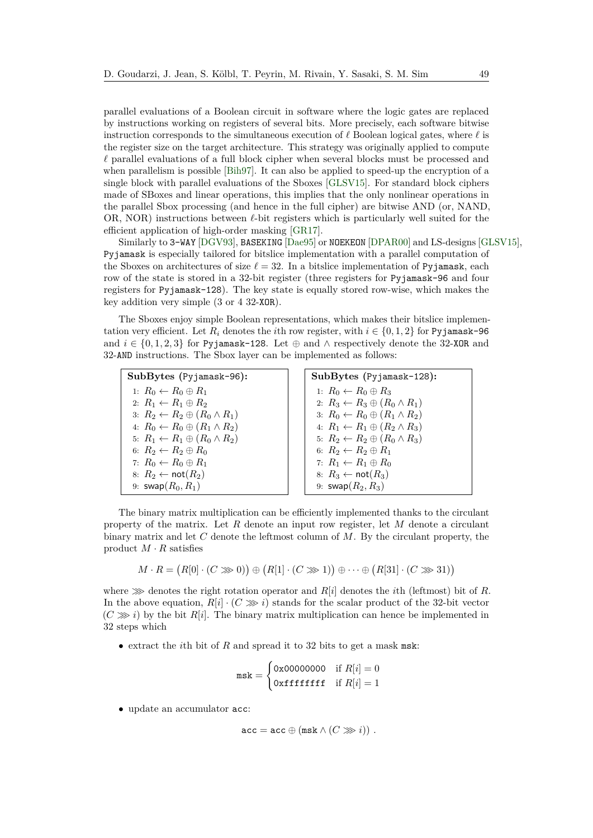parallel evaluations of a Boolean circuit in software where the logic gates are replaced by instructions working on registers of several bits. More precisely, each software bitwise instruction corresponds to the simultaneous execution of  $\ell$  Boolean logical gates, where  $\ell$  is the register size on the target architecture. This strategy was originally applied to compute  $\ell$  parallel evaluations of a full block cipher when several blocks must be processed and when parallelism is possible [\[Bih97\]](#page-25-10). It can also be applied to speed-up the encryption of a single block with parallel evaluations of the Sboxes [\[GLSV15\]](#page-26-1). For standard block ciphers made of SBoxes and linear operations, this implies that the only nonlinear operations in the parallel Sbox processing (and hence in the full cipher) are bitwise AND (or, NAND, OR, NOR) instructions between  $\ell$ -bit registers which is particularly well suited for the efficient application of high-order masking [\[GR17\]](#page-27-0).

Similarly to 3-WAY [\[DGV93\]](#page-26-3), BASEKING [\[Dae95\]](#page-25-3) or NOEKEON [\[DPAR00\]](#page-26-4) and LS-designs [\[GLSV15\]](#page-26-1), Pyjamask is especially tailored for bitslice implementation with a parallel computation of the Sboxes on architectures of size  $\ell = 32$ . In a bitslice implementation of Pyjamask, each row of the state is stored in a 32-bit register (three registers for Pyjamask-96 and four registers for Pyjamask-128). The key state is equally stored row-wise, which makes the key addition very simple (3 or 4 32-XOR).

The Sboxes enjoy simple Boolean representations, which makes their bitslice implementation very efficient. Let  $R_i$  denotes the *i*th row register, with  $i \in \{0, 1, 2\}$  for Pyjamask-96 and  $i \in \{0, 1, 2, 3\}$  for Pyjamask-128. Let  $\oplus$  and  $\wedge$  respectively denote the 32-XOR and 32-AND instructions. The Sbox layer can be implemented as follows:

**SubBytes (**Pyjamask-96**):** 1:  $R_0 \leftarrow R_0 \oplus R_1$ 2:  $R_1 \leftarrow R_1 \oplus R_2$ 3:  $R_2 \leftarrow R_2 \oplus (R_0 \wedge R_1)$ 4:  $R_0 \leftarrow R_0 \oplus (R_1 \wedge R_2)$ 5:  $R_1 \leftarrow R_1 \oplus (R_0 \wedge R_2)$ 6:  $R_2 \leftarrow R_2 \oplus R_0$ 7:  $R_0 \leftarrow R_0 \oplus R_1$ 8:  $R_2 \leftarrow \textsf{not}(R_2)$ 9:  $swap(R_0, R_1)$ 

**SubBytes** (Pyjamask-128):  
\n1: 
$$
R_0 \leftarrow R_0 \oplus R_3
$$
  
\n2:  $R_3 \leftarrow R_3 \oplus (R_0 \wedge R_1)$   
\n3:  $R_0 \leftarrow R_0 \oplus (R_1 \wedge R_2)$   
\n4:  $R_1 \leftarrow R_1 \oplus (R_2 \wedge R_3)$   
\n5:  $R_2 \leftarrow R_2 \oplus (R_0 \wedge R_3)$   
\n6:  $R_2 \leftarrow R_2 \oplus R_1$   
\n7:  $R_1 \leftarrow R_1 \oplus R_0$   
\n8:  $R_3 \leftarrow \text{not}(R_3)$   
\n9:  $\text{swap}(R_2, R_3)$ 

The binary matrix multiplication can be efficiently implemented thanks to the circulant property of the matrix. Let *R* denote an input row register, let *M* denote a circulant binary matrix and let *C* denote the leftmost column of *M*. By the circulant property, the product  $M \cdot R$  satisfies

$$
M \cdot R = (R[0] \cdot (C \ggg 0)) \oplus (R[1] \cdot (C \ggg 1)) \oplus \cdots \oplus (R[31] \cdot (C \ggg 31))
$$

where  $\gg$  denotes the right rotation operator and *R*[*i*] denotes the *i*th (leftmost) bit of *R*. In the above equation,  $R[i] \cdot (C \ggg i)$  stands for the scalar product of the 32-bit vector  $(C \gg i)$  by the bit  $R[i]$ . The binary matrix multiplication can hence be implemented in 32 steps which

• extract the *i*th bit of *R* and spread it to 32 bits to get a mask msk:

$$
\text{msk} = \begin{cases} 0 \text{x00000000} & \text{if } R[i] = 0\\ 0 \text{x} \text{f} \text{f} \text{f} \text{f} \text{f} & \text{if } R[i] = 1 \end{cases}
$$

• update an accumulator acc:

$$
\mathtt{acc} = \mathtt{acc} \oplus (\mathtt{msk} \wedge (C \ggg i)) \; .
$$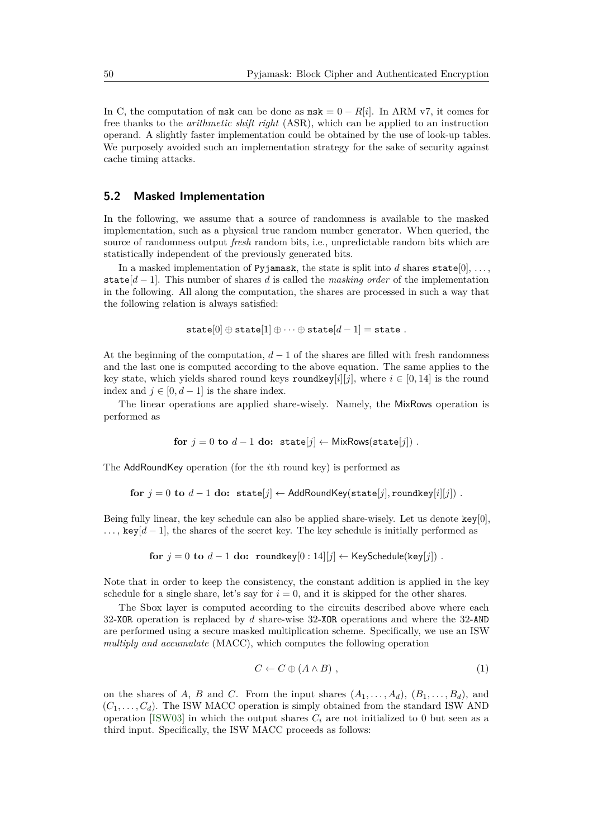In C, the computation of msk can be done as  $msk = 0 - R[i]$ . In ARM v7, it comes for free thanks to the *arithmetic shift right* (ASR), which can be applied to an instruction operand. A slightly faster implementation could be obtained by the use of look-up tables. We purposely avoided such an implementation strategy for the sake of security against cache timing attacks.

#### **5.2 Masked Implementation**

In the following, we assume that a source of randomness is available to the masked implementation, such as a physical true random number generator. When queried, the source of randomness output *fresh* random bits, i.e., unpredictable random bits which are statistically independent of the previously generated bits.

In a masked implementation of Pyjamask, the state is split into *d* shares state[0], ..., state[*d* − 1]. This number of shares *d* is called the *masking order* of the implementation in the following. All along the computation, the shares are processed in such a way that the following relation is always satisfied:

$$
\mathtt{state}[0] \oplus \mathtt{state}[1] \oplus \cdots \oplus \mathtt{state}[d-1] = \mathtt{state}~.
$$

At the beginning of the computation,  $d-1$  of the shares are filled with fresh randomness and the last one is computed according to the above equation. The same applies to the key state, which yields shared round keys roundkey[*i*][*j*], where  $i \in [0, 14]$  is the round index and  $j \in [0, d-1]$  is the share index.

The linear operations are applied share-wisely. Namely, the MixRows operation is performed as

for 
$$
j = 0
$$
 to  $d - 1$  do: state[j]  $\leftarrow$  MixRows(state[j]) .

The AddRoundKey operation (for the *i*th round key) is performed as

for  $j = 0$  to  $d - 1$  do: state[*j*] ← AddRoundKey(state[*j*], roundkey[*i*][*j*]) .

Being fully linear, the key schedule can also be applied share-wisely. Let us denote key[0],  $\ldots$ , key[ $d-1$ ], the shares of the secret key. The key schedule is initially performed as

$$
\textbf{for} \:\: j = 0 \:\: \textbf{to} \:\: d-1 \:\: \textbf{do:} \:\: \texttt{roundkey}[0:14][j] \leftarrow \text{KeySchedule}(\texttt{key}[j])\:.
$$

Note that in order to keep the consistency, the constant addition is applied in the key schedule for a single share, let's say for  $i = 0$ , and it is skipped for the other shares.

The Sbox layer is computed according to the circuits described above where each 32-XOR operation is replaced by *d* share-wise 32-XOR operations and where the 32-AND are performed using a secure masked multiplication scheme. Specifically, we use an ISW *multiply and accumulate* (MACC), which computes the following operation

$$
C \leftarrow C \oplus (A \wedge B) \tag{1}
$$

on the shares of *A*, *B* and *C*. From the input shares  $(A_1, \ldots, A_d)$ ,  $(B_1, \ldots, B_d)$ , and  $(C_1, \ldots, C_d)$ . The ISW MACC operation is simply obtained from the standard ISW AND operation [\[ISW03\]](#page-27-10) in which the output shares  $C_i$  are not initialized to 0 but seen as a third input. Specifically, the ISW MACC proceeds as follows: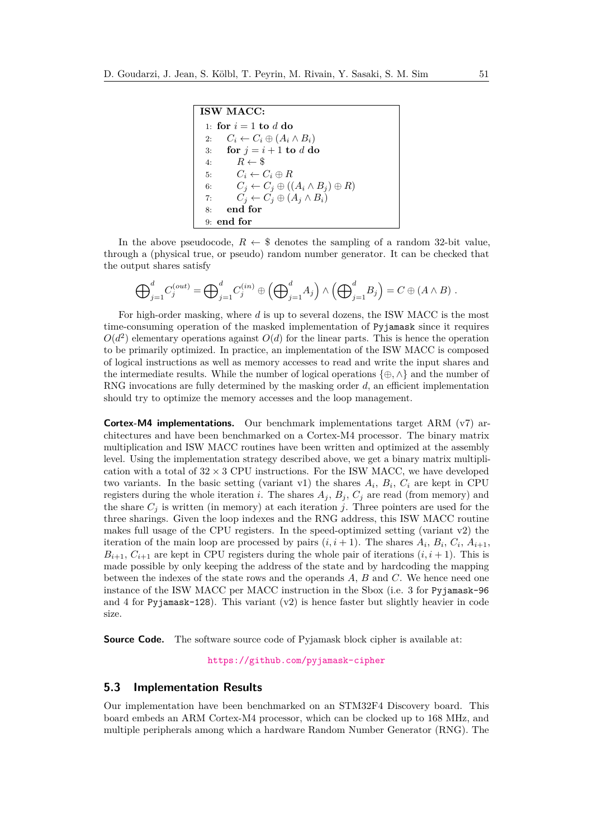**ISW MACC:** 1: **for**  $i = 1$  **to**  $d$  **do** 2:  $C_i \leftarrow C_i \oplus (A_i \wedge B_i)$ 3: **for**  $j = i + 1$  **to**  $d$  **do** 4:  $\overrightarrow{R} \leftarrow \overrightarrow{\$}$ 5:  $C_i \leftarrow C_i \oplus R$ 6:  $C_j \leftarrow C_j \oplus ((A_i \wedge B_j) \oplus R)$ 7:  $C_j \leftarrow C_j \oplus (A_j \wedge B_i)$ 8: **end for** 9: **end for**

In the above pseudocode,  $R \leftarrow \$$  denotes the sampling of a random 32-bit value, through a (physical true, or pseudo) random number generator. It can be checked that the output shares satisfy

$$
\bigoplus\nolimits_{j=1}^d C_j^{(out)} = \bigoplus\nolimits_{j=1}^d C_j^{(in)} \oplus \left(\bigoplus\nolimits_{j=1}^d A_j\right) \wedge \left(\bigoplus\nolimits_{j=1}^d B_j\right) = C \oplus \left(A \wedge B\right).
$$

For high-order masking, where *d* is up to several dozens, the ISW MACC is the most time-consuming operation of the masked implementation of Pyjamask since it requires  $O(d^2)$  elementary operations against  $O(d)$  for the linear parts. This is hence the operation to be primarily optimized. In practice, an implementation of the ISW MACC is composed of logical instructions as well as memory accesses to read and write the input shares and the intermediate results. While the number of logical operations {⊕*,* ∧} and the number of RNG invocations are fully determined by the masking order *d*, an efficient implementation should try to optimize the memory accesses and the loop management.

**Cortex-M4 implementations.** Our benchmark implementations target ARM (v7) architectures and have been benchmarked on a Cortex-M4 processor. The binary matrix multiplication and ISW MACC routines have been written and optimized at the assembly level. Using the implementation strategy described above, we get a binary matrix multiplication with a total of  $32 \times 3$  CPU instructions. For the ISW MACC, we have developed two variants. In the basic setting (variant v1) the shares  $A_i$ ,  $B_i$ ,  $C_i$  are kept in CPU registers during the whole iteration *i*. The shares  $A_j$ ,  $B_j$ ,  $C_j$  are read (from memory) and the share  $C_i$  is written (in memory) at each iteration *j*. Three pointers are used for the three sharings. Given the loop indexes and the RNG address, this ISW MACC routine makes full usage of the CPU registers. In the speed-optimized setting (variant v2) the iteration of the main loop are processed by pairs  $(i, i + 1)$ . The shares  $A_i$ ,  $B_i$ ,  $C_i$ ,  $A_{i+1}$ ,  $B_{i+1}, C_{i+1}$  are kept in CPU registers during the whole pair of iterations  $(i, i + 1)$ . This is made possible by only keeping the address of the state and by hardcoding the mapping between the indexes of the state rows and the operands *A*, *B* and *C*. We hence need one instance of the ISW MACC per MACC instruction in the Sbox (i.e. 3 for Pyjamask-96 and 4 for Pyjamask-128). This variant  $(v2)$  is hence faster but slightly heavier in code size.

**Source Code.** The software source code of Pyjamask block cipher is available at:

<https://github.com/pyjamask-cipher>

### **5.3 Implementation Results**

Our implementation have been benchmarked on an STM32F4 Discovery board. This board embeds an ARM Cortex-M4 processor, which can be clocked up to 168 MHz, and multiple peripherals among which a hardware Random Number Generator (RNG). The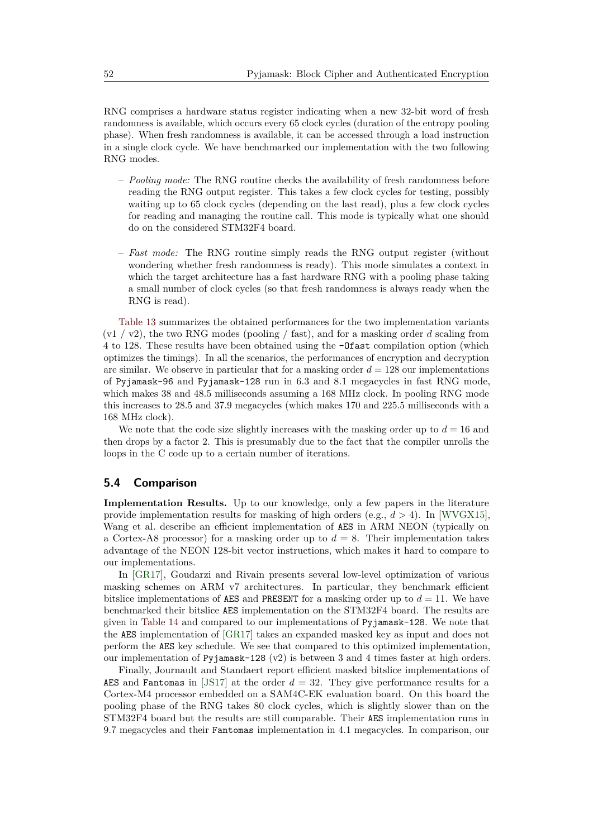RNG comprises a hardware status register indicating when a new 32-bit word of fresh randomness is available, which occurs every 65 clock cycles (duration of the entropy pooling phase). When fresh randomness is available, it can be accessed through a load instruction in a single clock cycle. We have benchmarked our implementation with the two following RNG modes.

- *Pooling mode:* The RNG routine checks the availability of fresh randomness before reading the RNG output register. This takes a few clock cycles for testing, possibly waiting up to 65 clock cycles (depending on the last read), plus a few clock cycles for reading and managing the routine call. This mode is typically what one should do on the considered STM32F4 board.
- *Fast mode:* The RNG routine simply reads the RNG output register (without wondering whether fresh randomness is ready). This mode simulates a context in which the target architecture has a fast hardware RNG with a pooling phase taking a small number of clock cycles (so that fresh randomness is always ready when the RNG is read).

[Table 13](#page-22-0) summarizes the obtained performances for the two implementation variants  $(v1 / v2)$ , the two RNG modes (pooling / fast), and for a masking order *d* scaling from 4 to 128. These results have been obtained using the -Ofast compilation option (which optimizes the timings). In all the scenarios, the performances of encryption and decryption are similar. We observe in particular that for a masking order  $d = 128$  our implementations of Pyjamask-96 and Pyjamask-128 run in 6.3 and 8.1 megacycles in fast RNG mode, which makes 38 and 48.5 milliseconds assuming a 168 MHz clock. In pooling RNG mode this increases to 28.5 and 37.9 megacycles (which makes 170 and 225.5 milliseconds with a 168 MHz clock).

We note that the code size slightly increases with the masking order up to  $d = 16$  and then drops by a factor 2. This is presumably due to the fact that the compiler unrolls the loops in the C code up to a certain number of iterations.

# **5.4 Comparison**

**Implementation Results.** Up to our knowledge, only a few papers in the literature provide implementation results for masking of high orders (e.g., *d >* 4). In [\[WVGX15\]](#page-28-6), Wang et al. describe an efficient implementation of AES in ARM NEON (typically on a Cortex-A8 processor) for a masking order up to  $d = 8$ . Their implementation takes advantage of the NEON 128-bit vector instructions, which makes it hard to compare to our implementations.

In [\[GR17\]](#page-27-0), Goudarzi and Rivain presents several low-level optimization of various masking schemes on ARM v7 architectures. In particular, they benchmark efficient bitslice implementations of AES and PRESENT for a masking order up to  $d = 11$ . We have benchmarked their bitslice AES implementation on the STM32F4 board. The results are given in [Table 14](#page-22-1) and compared to our implementations of Pyjamask-128. We note that the AES implementation of [\[GR17\]](#page-27-0) takes an expanded masked key as input and does not perform the AES key schedule. We see that compared to this optimized implementation, our implementation of Pyjamask-128 (v2) is between 3 and 4 times faster at high orders.

Finally, Journault and Standaert report efficient masked bitslice implementations of AES and Fantomas in [\[JS17\]](#page-27-3) at the order *d* = 32. They give performance results for a Cortex-M4 processor embedded on a SAM4C-EK evaluation board. On this board the pooling phase of the RNG takes 80 clock cycles, which is slightly slower than on the STM32F4 board but the results are still comparable. Their AES implementation runs in 9.7 megacycles and their Fantomas implementation in 4.1 megacycles. In comparison, our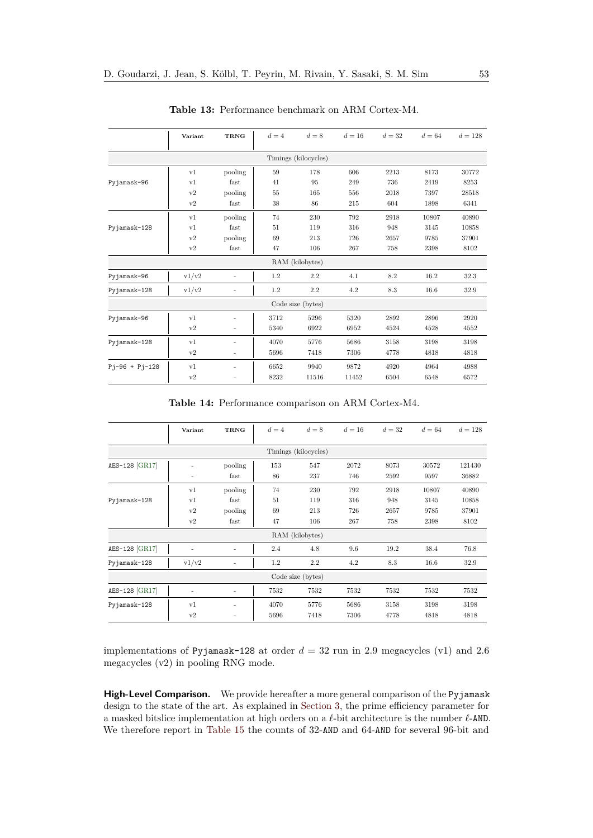<span id="page-22-0"></span>

|                  | Variant        | <b>TRNG</b>              | $d=4$ | $d=8$                | $d=16$ | $d=32$ | $d=64$ | $d = 128$ |
|------------------|----------------|--------------------------|-------|----------------------|--------|--------|--------|-----------|
|                  |                |                          |       | Timings (kilocycles) |        |        |        |           |
|                  | v1             | pooling                  | 59    | 178                  | 606    | 2213   | 8173   | 30772     |
| Pyjamask-96      | v1             | fast                     | 41    | 95                   | 249    | 736    | 2419   | 8253      |
|                  | v2             | pooling                  | 55    | 165                  | 556    | 2018   | 7397   | 28518     |
|                  | v2             | fast                     | 38    | 86                   | 215    | 604    | 1898   | 6341      |
|                  | v1             | pooling                  | 74    | 230                  | 792    | 2918   | 10807  | 40890     |
| Pyjamask-128     | v1             | fast                     | 51    | 119                  | 316    | 948    | 3145   | 10858     |
|                  | v2             | pooling                  | 69    | 213                  | 726    | 2657   | 9785   | 37901     |
|                  | v2             | fast                     | 47    | 106                  | 267    | 758    | 2398   | 8102      |
|                  |                |                          |       | RAM (kilobytes)      |        |        |        |           |
| Pyjamask-96      | v1/v2          | $\overline{\phantom{0}}$ | 1.2   | 2.2                  | 4.1    | 8.2    | 16.2   | 32.3      |
| Pyjamask-128     | v1/v2          | ٠                        | 1.2   | 2.2                  | 4.2    | 8.3    | 16.6   | 32.9      |
|                  |                |                          |       | Code size (bytes)    |        |        |        |           |
| Pyjamask-96      | v <sub>1</sub> | ۰                        | 3712  | 5296                 | 5320   | 2892   | 2896   | 2920      |
|                  | v2             | ۰                        | 5340  | 6922                 | 6952   | 4524   | 4528   | 4552      |
| Pyjamask-128     | v <sub>1</sub> | ۰                        | 4070  | 5776                 | 5686   | 3158   | 3198   | 3198      |
|                  | v2             | $\overline{\phantom{a}}$ | 5696  | 7418                 | 7306   | 4778   | 4818   | 4818      |
| $Pj-96 + Pj-128$ | v1             | ٠                        | 6652  | 9940                 | 9872   | 4920   | 4964   | 4988      |
|                  | v2             | ۰                        | 8232  | 11516                | 11452  | 6504   | 6548   | 6572      |

**Table 13:** Performance benchmark on ARM Cortex-M4.

**Table 14:** Performance comparison on ARM Cortex-M4.

<span id="page-22-1"></span>

|                | Variant | <b>TRNG</b> | $d=4$ | $d=8$                | $d=16$ | $d=32$ | $d=64$ | $d = 128$ |
|----------------|---------|-------------|-------|----------------------|--------|--------|--------|-----------|
|                |         |             |       | Timings (kilocycles) |        |        |        |           |
| AES-128 [GR17] |         | pooling     | 153   | 547                  | 2072   | 8073   | 30572  | 121430    |
|                | ٠       | fast        | 86    | 237                  | 746    | 2592   | 9597   | 36882     |
|                | v1      | pooling     | 74    | 230                  | 792    | 2918   | 10807  | 40890     |
| Pyjamask-128   | v1      | fast        | 51    | 119                  | 316    | 948    | 3145   | 10858     |
|                | v2      | pooling     | 69    | 213                  | 726    | 2657   | 9785   | 37901     |
|                | v2      | fast        | 47    | 106                  | 267    | 758    | 2398   | 8102      |
|                |         |             |       | RAM (kilobytes)      |        |        |        |           |
| AES-128 [GR17] |         | ۰           | 2.4   | 4.8                  | 9.6    | 19.2   | 38.4   | 76.8      |
| Pyjamask-128   | v1/v2   | ۰           | 1.2   | 2.2                  | 4.2    | 8.3    | 16.6   | 32.9      |
|                |         |             |       | Code size (bytes)    |        |        |        |           |
| AES-128 [GR17] |         | ٠           | 7532  | 7532                 | 7532   | 7532   | 7532   | 7532      |
| Pyjamask-128   | v1      | ۰           | 4070  | 5776                 | 5686   | 3158   | 3198   | 3198      |
|                | v2      | ٠           | 5696  | 7418                 | 7306   | 4778   | 4818   | 4818      |

implementations of Pyjamask-128 at order *d* = 32 run in 2.9 megacycles (v1) and 2.6 megacycles (v2) in pooling RNG mode.

**High-Level Comparison.** We provide hereafter a more general comparison of the Pyjamask design to the state of the art. As explained in [Section 3,](#page-8-0) the prime efficiency parameter for a masked bitslice implementation at high orders on a  $\ell\text{-bit}$  architecture is the number  $\ell\text{-AND}.$ We therefore report in [Table 15](#page-23-0) the counts of 32-AND and 64-AND for several 96-bit and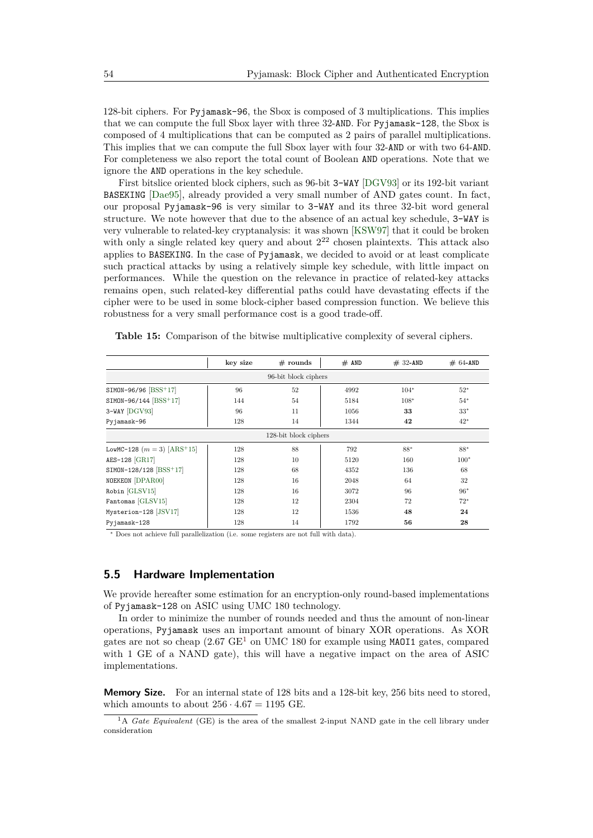128-bit ciphers. For Pyjamask-96, the Sbox is composed of 3 multiplications. This implies that we can compute the full Sbox layer with three 32-AND. For Pyjamask-128, the Sbox is composed of 4 multiplications that can be computed as 2 pairs of parallel multiplications. This implies that we can compute the full Sbox layer with four 32-AND or with two 64-AND. For completeness we also report the total count of Boolean AND operations. Note that we ignore the AND operations in the key schedule.

First bitslice oriented block ciphers, such as 96-bit 3-WAY [\[DGV93\]](#page-26-3) or its 192-bit variant BASEKING [\[Dae95\]](#page-25-3), already provided a very small number of AND gates count. In fact, our proposal Pyjamask-96 is very similar to 3-WAY and its three 32-bit word general structure. We note however that due to the absence of an actual key schedule, 3-WAY is very vulnerable to related-key cryptanalysis: it was shown [\[KSW97\]](#page-28-7) that it could be broken with only a single related key query and about  $2^{22}$  chosen plaintexts. This attack also applies to BASEKING. In the case of Pyjamask, we decided to avoid or at least complicate such practical attacks by using a relatively simple key schedule, with little impact on performances. While the question on the relevance in practice of related-key attacks remains open, such related-key differential paths could have devastating effects if the cipher were to be used in some block-cipher based compression function. We believe this robustness for a very small performance cost is a good trade-off.

<span id="page-23-0"></span>**Table 15:** Comparison of the bitwise multiplicative complexity of several ciphers.

|                                           | key size | $#$ rounds            | $#$ AND | $# 32-AND$ | $# 64-AND$ |
|-------------------------------------------|----------|-----------------------|---------|------------|------------|
|                                           |          | 96-bit block ciphers  |         |            |            |
| SIMON-96/96 [BSS+17]                      | 96       | 52                    | 4992    | $104*$     | $52*$      |
| SIMON-96/144 [BSS+17]                     | 144      | 54                    | 5184    | $108*$     | $54*$      |
| 3-WAY [DGV93]                             | 96       | 11                    | 1056    | 33         | $33*$      |
| Pyjamask-96                               | 128      | 14                    | 1344    | 42         | $42*$      |
|                                           |          | 128-bit block ciphers |         |            |            |
| LowMC-128 $(m = 3)$ [ARS <sup>+</sup> 15] | 128      | 88                    | 792     | 88*        | 88*        |
| AES-128 [GR17]                            | 128      | 10                    | 5120    | 160        | $100*$     |
| SIMON-128/128 [BSS+17]                    | 128      | 68                    | 4352    | 136        | 68         |
| NOEKEON [DPAR00]                          | 128      | 16                    | 2048    | 64         | 32         |
| Robin [GLSV15]                            | 128      | 16                    | 3072    | 96         | $96*$      |
| Fantomas [GLSV15]                         | 128      | 12                    | 2304    | 72         | $72*$      |
| Mysterion-128 [JSV17]                     | 128      | 12                    | 1536    | 48         | 24         |
| Pyjamask-128                              | 128      | 14                    | 1792    | 56         | 28         |

<sup>∗</sup> Does not achieve full parallelization (i.e. some registers are not full with data).

# **5.5 Hardware Implementation**

We provide hereafter some estimation for an encryption-only round-based implementations of Pyjamask-128 on ASIC using UMC 180 technology.

In order to minimize the number of rounds needed and thus the amount of non-linear operations, Pyjamask uses an important amount of binary XOR operations. As XOR gates are not so cheap  $(2.67 \text{ GE}^1 \text{ on UMC } 180 \text{ for example using MAO11 gates, compared})$  $(2.67 \text{ GE}^1 \text{ on UMC } 180 \text{ for example using MAO11 gates, compared})$  $(2.67 \text{ GE}^1 \text{ on UMC } 180 \text{ for example using MAO11 gates, compared})$ with 1 GE of a NAND gate), this will have a negative impact on the area of ASIC implementations.

**Memory Size.** For an internal state of 128 bits and a 128-bit key, 256 bits need to stored. which amounts to about  $256 \cdot 4.67 = 1195$  GE.

<span id="page-23-1"></span><sup>&</sup>lt;sup>1</sup>A *Gate Equivalent* (GE) is the area of the smallest 2-input NAND gate in the cell library under consideration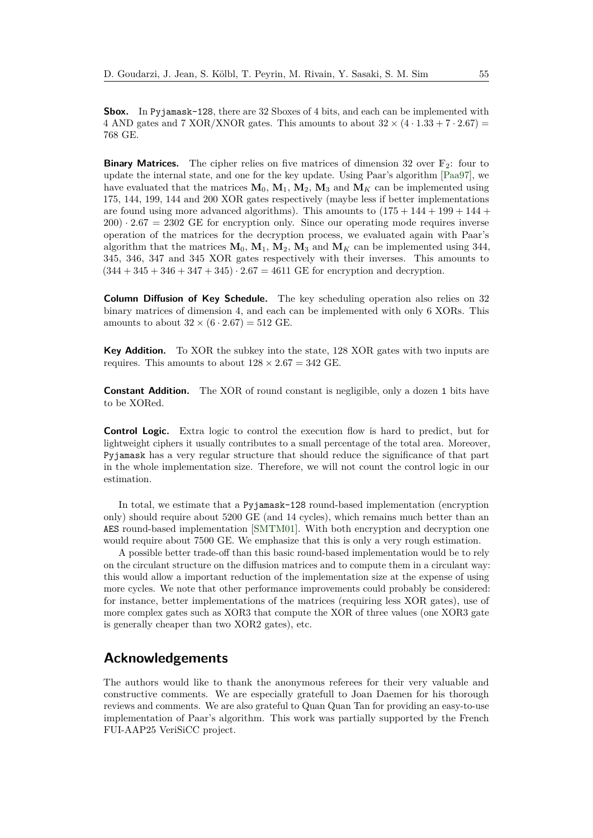**Sbox.** In Pyjamask-128, there are 32 Sboxes of 4 bits, and each can be implemented with 4 AND gates and 7 XOR/XNOR gates. This amounts to about  $32 \times (4 \cdot 1.33 + 7 \cdot 2.67)$  = 768 GE.

**Binary Matrices.** The cipher relies on five matrices of dimension 32 over  $\mathbb{F}_2$ : four to update the internal state, and one for the key update. Using Paar's algorithm [\[Paa97\]](#page-28-3), we have evaluated that the matrices  $M_0$ ,  $M_1$ ,  $M_2$ ,  $M_3$  and  $M_K$  can be implemented using 175, 144, 199, 144 and 200 XOR gates respectively (maybe less if better implementations are found using more advanced algorithms). This amounts to  $(175 + 144 + 199 + 144 +$  $200) \cdot 2.67 = 2302$  GE for encryption only. Since our operating mode requires inverse operation of the matrices for the decryption process, we evaluated again with Paar's algorithm that the matrices  $M_0$ ,  $M_1$ ,  $M_2$ ,  $M_3$  and  $M_K$  can be implemented using 344, 345, 346, 347 and 345 XOR gates respectively with their inverses. This amounts to  $(344 + 345 + 346 + 347 + 345) \cdot 2.67 = 4611$  GE for encryption and decryption.

**Column Diffusion of Key Schedule.** The key scheduling operation also relies on 32 binary matrices of dimension 4, and each can be implemented with only 6 XORs. This amounts to about  $32 \times (6 \cdot 2.67) = 512$  GE.

**Key Addition.** To XOR the subkey into the state, 128 XOR gates with two inputs are requires. This amounts to about  $128 \times 2.67 = 342$  GE.

**Constant Addition.** The XOR of round constant is negligible, only a dozen 1 bits have to be XORed.

**Control Logic.** Extra logic to control the execution flow is hard to predict, but for lightweight ciphers it usually contributes to a small percentage of the total area. Moreover, Pyjamask has a very regular structure that should reduce the significance of that part in the whole implementation size. Therefore, we will not count the control logic in our estimation.

In total, we estimate that a Pyjamask-128 round-based implementation (encryption only) should require about 5200 GE (and 14 cycles), which remains much better than an AES round-based implementation [\[SMTM01\]](#page-28-8). With both encryption and decryption one would require about 7500 GE. We emphasize that this is only a very rough estimation.

A possible better trade-off than this basic round-based implementation would be to rely on the circulant structure on the diffusion matrices and to compute them in a circulant way: this would allow a important reduction of the implementation size at the expense of using more cycles. We note that other performance improvements could probably be considered: for instance, better implementations of the matrices (requiring less XOR gates), use of more complex gates such as XOR3 that compute the XOR of three values (one XOR3 gate is generally cheaper than two XOR2 gates), etc.

# **Acknowledgements**

The authors would like to thank the anonymous referees for their very valuable and constructive comments. We are especially gratefull to Joan Daemen for his thorough reviews and comments. We are also grateful to Quan Quan Tan for providing an easy-to-use implementation of Paar's algorithm. This work was partially supported by the French FUI-AAP25 VeriSiCC project.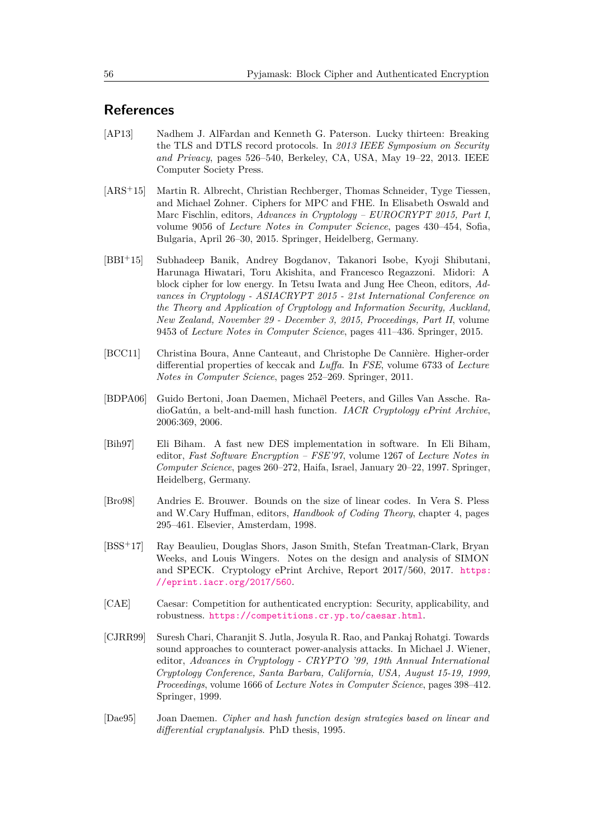# **References**

- <span id="page-25-0"></span>[AP13] Nadhem J. AlFardan and Kenneth G. Paterson. Lucky thirteen: Breaking the TLS and DTLS record protocols. In *2013 IEEE Symposium on Security and Privacy*, pages 526–540, Berkeley, CA, USA, May 19–22, 2013. IEEE Computer Society Press.
- <span id="page-25-2"></span>[ARS<sup>+</sup>15] Martin R. Albrecht, Christian Rechberger, Thomas Schneider, Tyge Tiessen, and Michael Zohner. Ciphers for MPC and FHE. In Elisabeth Oswald and Marc Fischlin, editors, *Advances in Cryptology – EUROCRYPT 2015, Part I*, volume 9056 of *Lecture Notes in Computer Science*, pages 430–454, Sofia, Bulgaria, April 26–30, 2015. Springer, Heidelberg, Germany.
- <span id="page-25-7"></span>[BBI<sup>+</sup>15] Subhadeep Banik, Andrey Bogdanov, Takanori Isobe, Kyoji Shibutani, Harunaga Hiwatari, Toru Akishita, and Francesco Regazzoni. Midori: A block cipher for low energy. In Tetsu Iwata and Jung Hee Cheon, editors, *Advances in Cryptology - ASIACRYPT 2015 - 21st International Conference on the Theory and Application of Cryptology and Information Security, Auckland, New Zealand, November 29 - December 3, 2015, Proceedings, Part II*, volume 9453 of *Lecture Notes in Computer Science*, pages 411–436. Springer, 2015.
- <span id="page-25-9"></span>[BCC11] Christina Boura, Anne Canteaut, and Christophe De Cannière. Higher-order differential properties of keccak and *Luffa*. In *FSE*, volume 6733 of *Lecture Notes in Computer Science*, pages 252–269. Springer, 2011.
- <span id="page-25-5"></span>[BDPA06] Guido Bertoni, Joan Daemen, Michaël Peeters, and Gilles Van Assche. RadioGatún, a belt-and-mill hash function. *IACR Cryptology ePrint Archive*, 2006:369, 2006.
- <span id="page-25-10"></span>[Bih97] Eli Biham. A fast new DES implementation in software. In Eli Biham, editor, *Fast Software Encryption – FSE'97*, volume 1267 of *Lecture Notes in Computer Science*, pages 260–272, Haifa, Israel, January 20–22, 1997. Springer, Heidelberg, Germany.
- <span id="page-25-6"></span>[Bro98] Andries E. Brouwer. Bounds on the size of linear codes. In Vera S. Pless and W.Cary Huffman, editors, *Handbook of Coding Theory*, chapter 4, pages 295–461. Elsevier, Amsterdam, 1998.
- <span id="page-25-8"></span>[BSS<sup>+</sup>17] Ray Beaulieu, Douglas Shors, Jason Smith, Stefan Treatman-Clark, Bryan Weeks, and Louis Wingers. Notes on the design and analysis of SIMON and SPECK. Cryptology ePrint Archive, Report 2017/560, 2017. [https:](https://eprint.iacr.org/2017/560) [//eprint.iacr.org/2017/560](https://eprint.iacr.org/2017/560).
- <span id="page-25-1"></span>[CAE] Caesar: Competition for authenticated encryption: Security, applicability, and robustness. <https://competitions.cr.yp.to/caesar.html>.
- <span id="page-25-4"></span>[CJRR99] Suresh Chari, Charanjit S. Jutla, Josyula R. Rao, and Pankaj Rohatgi. Towards sound approaches to counteract power-analysis attacks. In Michael J. Wiener, editor, *Advances in Cryptology - CRYPTO '99, 19th Annual International Cryptology Conference, Santa Barbara, California, USA, August 15-19, 1999, Proceedings*, volume 1666 of *Lecture Notes in Computer Science*, pages 398–412. Springer, 1999.
- <span id="page-25-3"></span>[Dae95] Joan Daemen. *Cipher and hash function design strategies based on linear and differential cryptanalysis*. PhD thesis, 1995.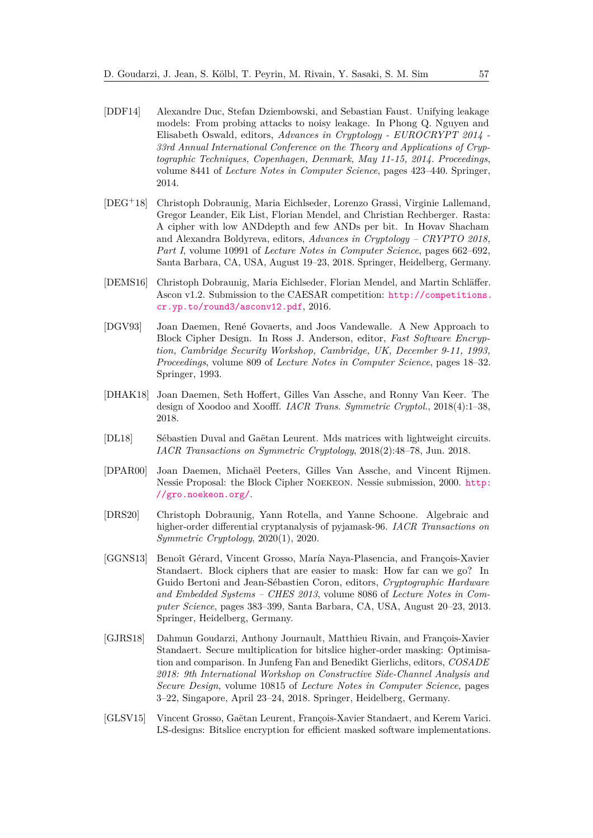- <span id="page-26-6"></span>[DDF14] Alexandre Duc, Stefan Dziembowski, and Sebastian Faust. Unifying leakage models: From probing attacks to noisy leakage. In Phong Q. Nguyen and Elisabeth Oswald, editors, *Advances in Cryptology - EUROCRYPT 2014 - 33rd Annual International Conference on the Theory and Applications of Cryptographic Techniques, Copenhagen, Denmark, May 11-15, 2014. Proceedings*, volume 8441 of *Lecture Notes in Computer Science*, pages 423–440. Springer, 2014.
- <span id="page-26-2"></span>[DEG<sup>+</sup>18] Christoph Dobraunig, Maria Eichlseder, Lorenzo Grassi, Virginie Lallemand, Gregor Leander, Eik List, Florian Mendel, and Christian Rechberger. Rasta: A cipher with low ANDdepth and few ANDs per bit. In Hovav Shacham and Alexandra Boldyreva, editors, *Advances in Cryptology – CRYPTO 2018, Part I*, volume 10991 of *Lecture Notes in Computer Science*, pages 662–692, Santa Barbara, CA, USA, August 19–23, 2018. Springer, Heidelberg, Germany.
- <span id="page-26-5"></span>[DEMS16] Christoph Dobraunig, Maria Eichlseder, Florian Mendel, and Martin Schläffer. Ascon v1.2. Submission to the CAESAR competition: [http://competitions.](http://competitions.cr.yp.to/round3/asconv12.pdf) [cr.yp.to/round3/asconv12.pdf](http://competitions.cr.yp.to/round3/asconv12.pdf), 2016.
- <span id="page-26-3"></span>[DGV93] Joan Daemen, René Govaerts, and Joos Vandewalle. A New Approach to Block Cipher Design. In Ross J. Anderson, editor, *Fast Software Encryption, Cambridge Security Workshop, Cambridge, UK, December 9-11, 1993, Proceedings*, volume 809 of *Lecture Notes in Computer Science*, pages 18–32. Springer, 1993.
- <span id="page-26-8"></span>[DHAK18] Joan Daemen, Seth Hoffert, Gilles Van Assche, and Ronny Van Keer. The design of Xoodoo and Xoofff. *IACR Trans. Symmetric Cryptol.*, 2018(4):1–38, 2018.
- <span id="page-26-9"></span>[DL18] Sébastien Duval and Gaëtan Leurent. Mds matrices with lightweight circuits. *IACR Transactions on Symmetric Cryptology*, 2018(2):48–78, Jun. 2018.
- <span id="page-26-4"></span>[DPAR00] Joan Daemen, Michaël Peeters, Gilles Van Assche, and Vincent Rijmen. Nessie Proposal: the Block Cipher Noekeon. Nessie submission, 2000. [http:](http://gro.noekeon.org/) [//gro.noekeon.org/](http://gro.noekeon.org/).
- <span id="page-26-10"></span>[DRS20] Christoph Dobraunig, Yann Rotella, and Yanne Schoone. Algebraic and higher-order differential cryptanalysis of pyjamask-96. *IACR Transactions on Symmetric Cryptology*, 2020(1), 2020.
- <span id="page-26-0"></span>[GGNS13] Benoît Gérard, Vincent Grosso, María Naya-Plasencia, and François-Xavier Standaert. Block ciphers that are easier to mask: How far can we go? In Guido Bertoni and Jean-Sébastien Coron, editors, *Cryptographic Hardware and Embedded Systems – CHES 2013*, volume 8086 of *Lecture Notes in Computer Science*, pages 383–399, Santa Barbara, CA, USA, August 20–23, 2013. Springer, Heidelberg, Germany.
- <span id="page-26-7"></span>[GJRS18] Dahmun Goudarzi, Anthony Journault, Matthieu Rivain, and François-Xavier Standaert. Secure multiplication for bitslice higher-order masking: Optimisation and comparison. In Junfeng Fan and Benedikt Gierlichs, editors, *COSADE 2018: 9th International Workshop on Constructive Side-Channel Analysis and Secure Design*, volume 10815 of *Lecture Notes in Computer Science*, pages 3–22, Singapore, April 23–24, 2018. Springer, Heidelberg, Germany.
- <span id="page-26-1"></span>[GLSV15] Vincent Grosso, Gaëtan Leurent, François-Xavier Standaert, and Kerem Varici. LS-designs: Bitslice encryption for efficient masked software implementations.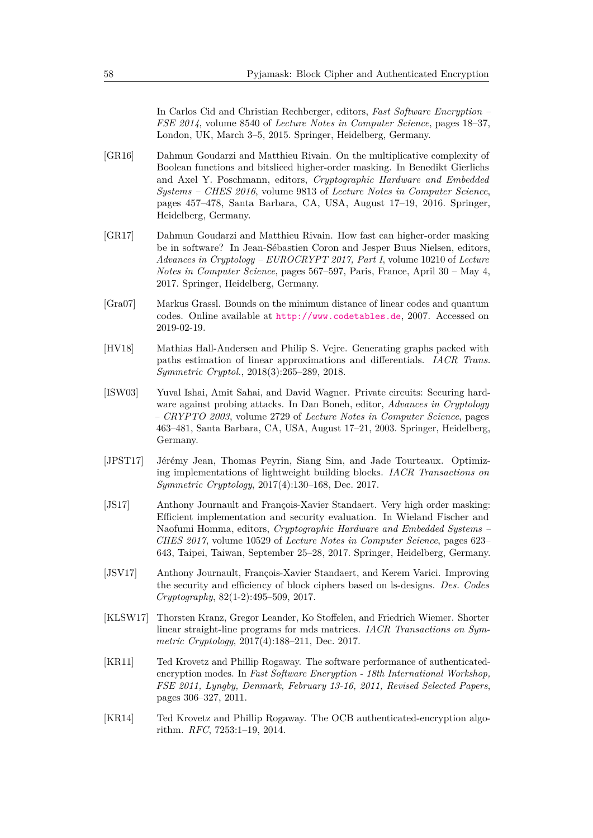In Carlos Cid and Christian Rechberger, editors, *Fast Software Encryption – FSE 2014*, volume 8540 of *Lecture Notes in Computer Science*, pages 18–37, London, UK, March 3–5, 2015. Springer, Heidelberg, Germany.

- <span id="page-27-2"></span>[GR16] Dahmun Goudarzi and Matthieu Rivain. On the multiplicative complexity of Boolean functions and bitsliced higher-order masking. In Benedikt Gierlichs and Axel Y. Poschmann, editors, *Cryptographic Hardware and Embedded Systems – CHES 2016*, volume 9813 of *Lecture Notes in Computer Science*, pages 457–478, Santa Barbara, CA, USA, August 17–19, 2016. Springer, Heidelberg, Germany.
- <span id="page-27-0"></span>[GR17] Dahmun Goudarzi and Matthieu Rivain. How fast can higher-order masking be in software? In Jean-Sébastien Coron and Jesper Buus Nielsen, editors, *Advances in Cryptology – EUROCRYPT 2017, Part I*, volume 10210 of *Lecture Notes in Computer Science*, pages 567–597, Paris, France, April 30 – May 4, 2017. Springer, Heidelberg, Germany.
- <span id="page-27-5"></span>[Gra07] Markus Grassl. Bounds on the minimum distance of linear codes and quantum codes. Online available at <http://www.codetables.de>, 2007. Accessed on 2019-02-19.
- <span id="page-27-9"></span>[HV18] Mathias Hall-Andersen and Philip S. Vejre. Generating graphs packed with paths estimation of linear approximations and differentials. *IACR Trans. Symmetric Cryptol.*, 2018(3):265–289, 2018.
- <span id="page-27-10"></span>[ISW03] Yuval Ishai, Amit Sahai, and David Wagner. Private circuits: Securing hardware against probing attacks. In Dan Boneh, editor, *Advances in Cryptology – CRYPTO 2003*, volume 2729 of *Lecture Notes in Computer Science*, pages 463–481, Santa Barbara, CA, USA, August 17–21, 2003. Springer, Heidelberg, Germany.
- <span id="page-27-7"></span>[JPST17] Jérémy Jean, Thomas Peyrin, Siang Sim, and Jade Tourteaux. Optimizing implementations of lightweight building blocks. *IACR Transactions on Symmetric Cryptology*, 2017(4):130–168, Dec. 2017.
- <span id="page-27-3"></span>[JS17] Anthony Journault and François-Xavier Standaert. Very high order masking: Efficient implementation and security evaluation. In Wieland Fischer and Naofumi Homma, editors, *Cryptographic Hardware and Embedded Systems – CHES 2017*, volume 10529 of *Lecture Notes in Computer Science*, pages 623– 643, Taipei, Taiwan, September 25–28, 2017. Springer, Heidelberg, Germany.
- <span id="page-27-4"></span>[JSV17] Anthony Journault, François-Xavier Standaert, and Kerem Varici. Improving the security and efficiency of block ciphers based on ls-designs. *Des. Codes Cryptography*, 82(1-2):495–509, 2017.
- <span id="page-27-6"></span>[KLSW17] Thorsten Kranz, Gregor Leander, Ko Stoffelen, and Friedrich Wiemer. Shorter linear straight-line programs for mds matrices. *IACR Transactions on Symmetric Cryptology*, 2017(4):188–211, Dec. 2017.
- <span id="page-27-8"></span>[KR11] Ted Krovetz and Phillip Rogaway. The software performance of authenticatedencryption modes. In *Fast Software Encryption - 18th International Workshop, FSE 2011, Lyngby, Denmark, February 13-16, 2011, Revised Selected Papers*, pages 306–327, 2011.
- <span id="page-27-1"></span>[KR14] Ted Krovetz and Phillip Rogaway. The OCB authenticated-encryption algorithm. *RFC*, 7253:1–19, 2014.